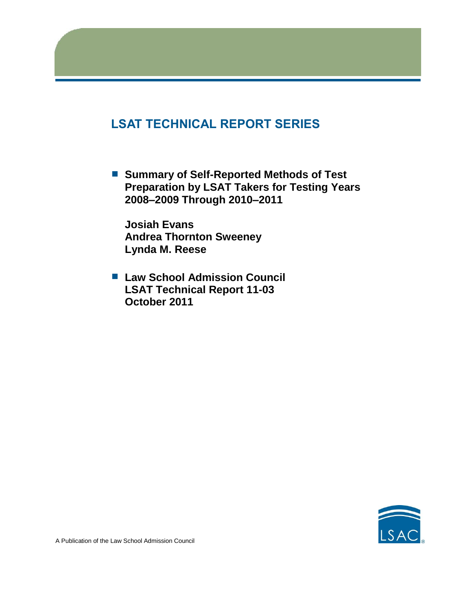# **LSAT TECHNICAL REPORT SERIES**

■ Summary of Self-Reported Methods of Test **Preparation by LSAT Takers for Testing Years 2008–2009 Through 2010–2011**

**Josiah Evans Andrea Thornton Sweeney Lynda M. Reese**

■ Law School Admission Council **LSAT Technical Report 11-03 October 2011**

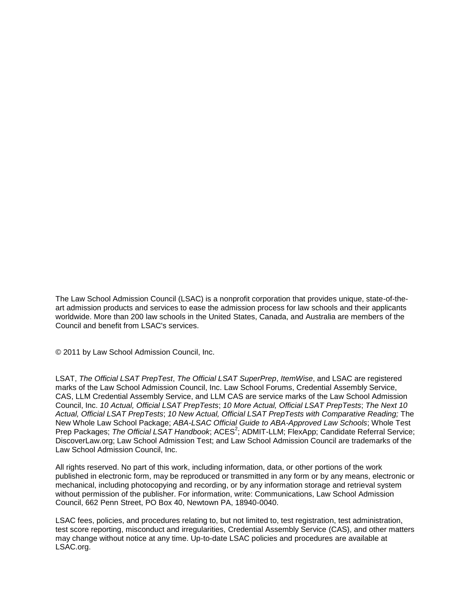The Law School Admission Council (LSAC) is a nonprofit corporation that provides unique, state-of-theart admission products and services to ease the admission process for law schools and their applicants worldwide. More than 200 law schools in the United States, Canada, and Australia are members of the Council and benefit from LSAC's services.

© 2011 by Law School Admission Council, Inc.

LSAT, *The Official LSAT PrepTest*, *The Official LSAT SuperPrep*, *ItemWise*, and LSAC are registered marks of the Law School Admission Council, Inc. Law School Forums, Credential Assembly Service, CAS, LLM Credential Assembly Service, and LLM CAS are service marks of the Law School Admission Council, Inc. *10 Actual, Official LSAT PrepTests*; *10 More Actual, Official LSAT PrepTests*; *The Next 10 Actual, Official LSAT PrepTests*; *10 New Actual, Official LSAT PrepTests with Comparative Reading;* The New Whole Law School Package; *ABA-LSAC Official Guide to ABA-Approved Law Schools*; Whole Test Prep Packages; The Official LSAT Handbook; ACES<sup>2</sup>; ADMIT-LLM; FlexApp; Candidate Referral Service; DiscoverLaw.org; Law School Admission Test; and Law School Admission Council are trademarks of the Law School Admission Council, Inc.

All rights reserved. No part of this work, including information, data, or other portions of the work published in electronic form, may be reproduced or transmitted in any form or by any means, electronic or mechanical, including photocopying and recording, or by any information storage and retrieval system without permission of the publisher. For information, write: Communications, Law School Admission Council, 662 Penn Street, PO Box 40, Newtown PA, 18940-0040.

LSAC fees, policies, and procedures relating to, but not limited to, test registration, test administration, test score reporting, misconduct and irregularities, Credential Assembly Service (CAS), and other matters may change without notice at any time. Up-to-date LSAC policies and procedures are available at LSAC.org.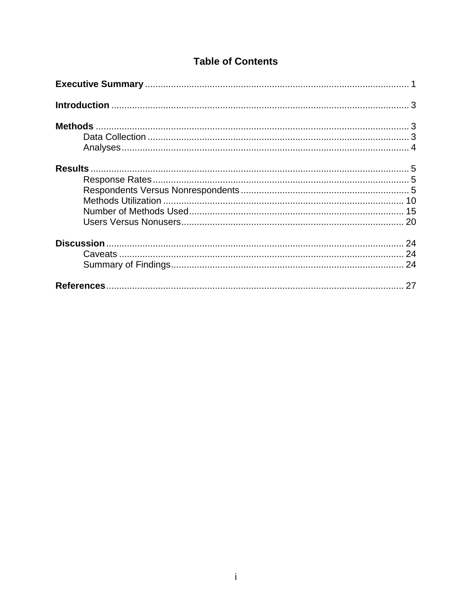## **Table of Contents**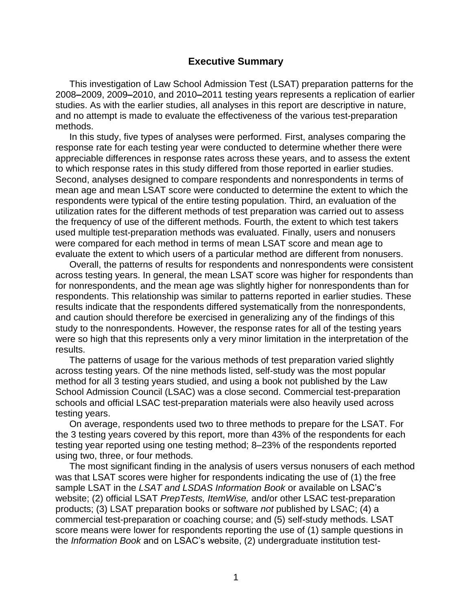## **Executive Summary**

This investigation of Law School Admission Test (LSAT) preparation patterns for the 2008**–**2009, 2009**–**2010, and 2010**–**2011 testing years represents a replication of earlier studies. As with the earlier studies, all analyses in this report are descriptive in nature, and no attempt is made to evaluate the effectiveness of the various test-preparation methods.

In this study, five types of analyses were performed. First, analyses comparing the response rate for each testing year were conducted to determine whether there were appreciable differences in response rates across these years, and to assess the extent to which response rates in this study differed from those reported in earlier studies. Second, analyses designed to compare respondents and nonrespondents in terms of mean age and mean LSAT score were conducted to determine the extent to which the respondents were typical of the entire testing population. Third, an evaluation of the utilization rates for the different methods of test preparation was carried out to assess the frequency of use of the different methods. Fourth, the extent to which test takers used multiple test-preparation methods was evaluated. Finally, users and nonusers were compared for each method in terms of mean LSAT score and mean age to evaluate the extent to which users of a particular method are different from nonusers.

Overall, the patterns of results for respondents and nonrespondents were consistent across testing years. In general, the mean LSAT score was higher for respondents than for nonrespondents, and the mean age was slightly higher for nonrespondents than for respondents. This relationship was similar to patterns reported in earlier studies. These results indicate that the respondents differed systematically from the nonrespondents, and caution should therefore be exercised in generalizing any of the findings of this study to the nonrespondents. However, the response rates for all of the testing years were so high that this represents only a very minor limitation in the interpretation of the results.

The patterns of usage for the various methods of test preparation varied slightly across testing years. Of the nine methods listed, self-study was the most popular method for all 3 testing years studied, and using a book not published by the Law School Admission Council (LSAC) was a close second. Commercial test-preparation schools and official LSAC test-preparation materials were also heavily used across testing years.

On average, respondents used two to three methods to prepare for the LSAT. For the 3 testing years covered by this report, more than 43% of the respondents for each testing year reported using one testing method; 8–23% of the respondents reported using two, three, or four methods.

The most significant finding in the analysis of users versus nonusers of each method was that LSAT scores were higher for respondents indicating the use of (1) the free sample LSAT in the *LSAT and LSDAS Information Book* or available on LSAC's website; (2) official LSAT *PrepTests, ItemWise,* and/or other LSAC test-preparation products; (3) LSAT preparation books or software *not* published by LSAC; (4) a commercial test-preparation or coaching course; and (5) self-study methods. LSAT score means were lower for respondents reporting the use of (1) sample questions in the *Information Book* and on LSAC's website, (2) undergraduate institution test-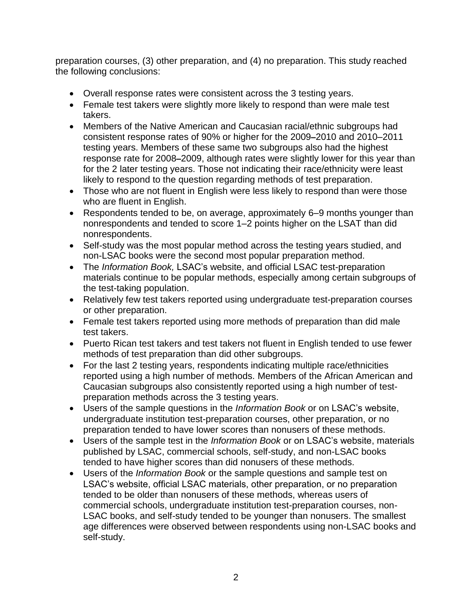preparation courses, (3) other preparation, and (4) no preparation. This study reached the following conclusions:

- Overall response rates were consistent across the 3 testing years.
- Female test takers were slightly more likely to respond than were male test takers.
- Members of the Native American and Caucasian racial/ethnic subgroups had consistent response rates of 90% or higher for the 2009**–**2010 and 2010–2011 testing years. Members of these same two subgroups also had the highest response rate for 2008**–**2009, although rates were slightly lower for this year than for the 2 later testing years. Those not indicating their race/ethnicity were least likely to respond to the question regarding methods of test preparation.
- Those who are not fluent in English were less likely to respond than were those who are fluent in English.
- Respondents tended to be, on average, approximately 6–9 months younger than nonrespondents and tended to score 1–2 points higher on the LSAT than did nonrespondents.
- Self-study was the most popular method across the testing years studied, and non-LSAC books were the second most popular preparation method.
- The *Information Book,* LSAC's website, and official LSAC test-preparation materials continue to be popular methods, especially among certain subgroups of the test-taking population.
- Relatively few test takers reported using undergraduate test-preparation courses or other preparation.
- Female test takers reported using more methods of preparation than did male test takers.
- Puerto Rican test takers and test takers not fluent in English tended to use fewer methods of test preparation than did other subgroups.
- For the last 2 testing years, respondents indicating multiple race/ethnicities reported using a high number of methods. Members of the African American and Caucasian subgroups also consistently reported using a high number of testpreparation methods across the 3 testing years.
- Users of the sample questions in the *Information Book* or on LSAC's website, undergraduate institution test-preparation courses, other preparation, or no preparation tended to have lower scores than nonusers of these methods.
- Users of the sample test in the *Information Book* or on LSAC's website, materials published by LSAC, commercial schools, self-study, and non-LSAC books tended to have higher scores than did nonusers of these methods.
- Users of the *Information Book* or the sample questions and sample test on LSAC's website, official LSAC materials, other preparation, or no preparation tended to be older than nonusers of these methods, whereas users of commercial schools, undergraduate institution test-preparation courses, non-LSAC books, and self-study tended to be younger than nonusers. The smallest age differences were observed between respondents using non-LSAC books and self-study.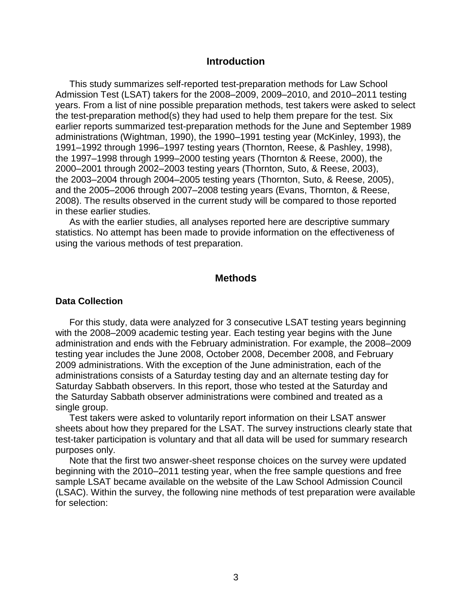#### **Introduction**

This study summarizes self-reported test-preparation methods for Law School Admission Test (LSAT) takers for the 2008–2009, 2009–2010, and 2010–2011 testing years. From a list of nine possible preparation methods, test takers were asked to select the test-preparation method(s) they had used to help them prepare for the test. Six earlier reports summarized test-preparation methods for the June and September 1989 administrations (Wightman, 1990), the 1990–1991 testing year (McKinley, 1993), the 1991–1992 through 1996–1997 testing years (Thornton, Reese, & Pashley, 1998), the 1997–1998 through 1999–2000 testing years (Thornton & Reese, 2000), the 2000–2001 through 2002–2003 testing years (Thornton, Suto, & Reese, 2003), the 2003–2004 through 2004–2005 testing years (Thornton, Suto, & Reese, 2005), and the 2005–2006 through 2007–2008 testing years (Evans, Thornton, & Reese, 2008). The results observed in the current study will be compared to those reported in these earlier studies.

As with the earlier studies, all analyses reported here are descriptive summary statistics. No attempt has been made to provide information on the effectiveness of using the various methods of test preparation.

## **Methods**

#### **Data Collection**

For this study, data were analyzed for 3 consecutive LSAT testing years beginning with the 2008–2009 academic testing year. Each testing year begins with the June administration and ends with the February administration. For example, the 2008–2009 testing year includes the June 2008, October 2008, December 2008, and February 2009 administrations. With the exception of the June administration, each of the administrations consists of a Saturday testing day and an alternate testing day for Saturday Sabbath observers. In this report, those who tested at the Saturday and the Saturday Sabbath observer administrations were combined and treated as a single group.

Test takers were asked to voluntarily report information on their LSAT answer sheets about how they prepared for the LSAT. The survey instructions clearly state that test-taker participation is voluntary and that all data will be used for summary research purposes only.

Note that the first two answer-sheet response choices on the survey were updated beginning with the 2010–2011 testing year, when the free sample questions and free sample LSAT became available on the website of the Law School Admission Council (LSAC). Within the survey, the following nine methods of test preparation were available for selection: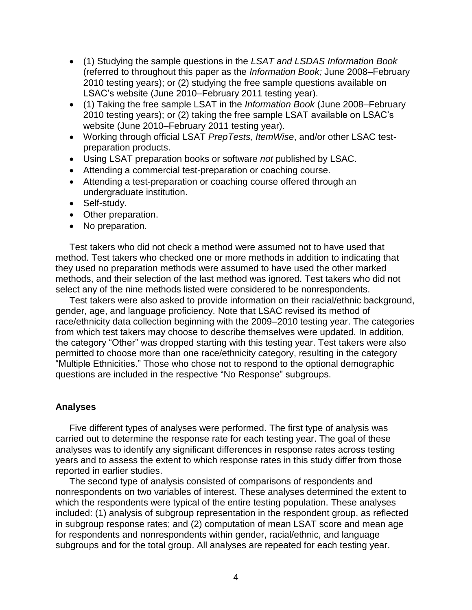- (1) Studying the sample questions in the *LSAT and LSDAS Information Book* (referred to throughout this paper as the *Information Book;* June 2008–February 2010 testing years); or (2) studying the free sample questions available on LSAC's website (June 2010–February 2011 testing year).
- (1) Taking the free sample LSAT in the *Information Book* (June 2008–February 2010 testing years); or (2) taking the free sample LSAT available on LSAC's website (June 2010–February 2011 testing year).
- Working through official LSAT *PrepTests, ItemWise*, and/or other LSAC testpreparation products.
- Using LSAT preparation books or software *not* published by LSAC.
- Attending a commercial test-preparation or coaching course.
- Attending a test-preparation or coaching course offered through an undergraduate institution.
- Self-study.
- Other preparation.
- No preparation.

Test takers who did not check a method were assumed not to have used that method. Test takers who checked one or more methods in addition to indicating that they used no preparation methods were assumed to have used the other marked methods, and their selection of the last method was ignored. Test takers who did not select any of the nine methods listed were considered to be nonrespondents.

Test takers were also asked to provide information on their racial/ethnic background, gender, age, and language proficiency. Note that LSAC revised its method of race/ethnicity data collection beginning with the 2009–2010 testing year. The categories from which test takers may choose to describe themselves were updated. In addition, the category "Other" was dropped starting with this testing year. Test takers were also permitted to choose more than one race/ethnicity category, resulting in the category "Multiple Ethnicities." Those who chose not to respond to the optional demographic questions are included in the respective "No Response" subgroups.

## **Analyses**

Five different types of analyses were performed. The first type of analysis was carried out to determine the response rate for each testing year. The goal of these analyses was to identify any significant differences in response rates across testing years and to assess the extent to which response rates in this study differ from those reported in earlier studies.

The second type of analysis consisted of comparisons of respondents and nonrespondents on two variables of interest. These analyses determined the extent to which the respondents were typical of the entire testing population. These analyses included: (1) analysis of subgroup representation in the respondent group, as reflected in subgroup response rates; and (2) computation of mean LSAT score and mean age for respondents and nonrespondents within gender, racial/ethnic, and language subgroups and for the total group. All analyses are repeated for each testing year.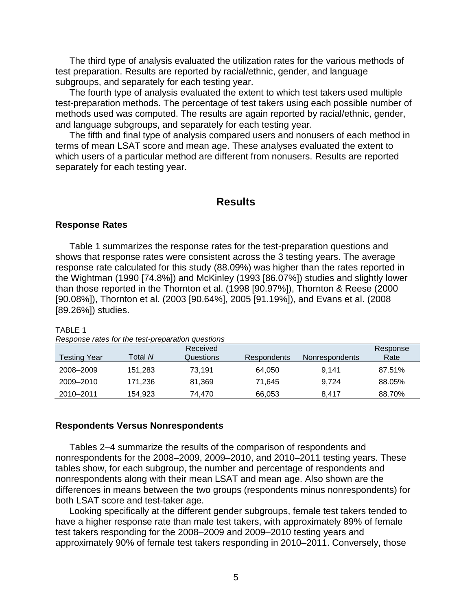The third type of analysis evaluated the utilization rates for the various methods of test preparation. Results are reported by racial/ethnic, gender, and language subgroups, and separately for each testing year.

The fourth type of analysis evaluated the extent to which test takers used multiple test-preparation methods. The percentage of test takers using each possible number of methods used was computed. The results are again reported by racial/ethnic, gender, and language subgroups, and separately for each testing year.

The fifth and final type of analysis compared users and nonusers of each method in terms of mean LSAT score and mean age. These analyses evaluated the extent to which users of a particular method are different from nonusers. Results are reported separately for each testing year.

## **Results**

#### **Response Rates**

Table 1 summarizes the response rates for the test-preparation questions and shows that response rates were consistent across the 3 testing years. The average response rate calculated for this study (88.09%) was higher than the rates reported in the Wightman (1990 [74.8%]) and McKinley (1993 [86.07%]) studies and slightly lower than those reported in the Thornton et al. (1998 [90.97%]), Thornton & Reese (2000 [90.08%]), Thornton et al. (2003 [90.64%], 2005 [91.19%]), and Evans et al. (2008 [89.26%]) studies.

#### TABLE 1

| Response rates for the test-preparation questions |
|---------------------------------------------------|
|---------------------------------------------------|

| <b>Testing Year</b> | Total <i>N</i> | Received<br>Questions | Respondents | <b>Nonrespondents</b> | Response<br>Rate |
|---------------------|----------------|-----------------------|-------------|-----------------------|------------------|
| 2008-2009           | 151,283        | 73.191                | 64.050      | 9.141                 | 87.51%           |
| 2009–2010           | 171.236        | 81.369                | 71.645      | 9.724                 | 88.05%           |
| 2010-2011           | 154,923        | 74.470                | 66,053      | 8.417                 | 88.70%           |

#### **Respondents Versus Nonrespondents**

Tables 2–4 summarize the results of the comparison of respondents and nonrespondents for the 2008–2009, 2009–2010, and 2010–2011 testing years. These tables show, for each subgroup, the number and percentage of respondents and nonrespondents along with their mean LSAT and mean age. Also shown are the differences in means between the two groups (respondents minus nonrespondents) for both LSAT score and test-taker age.

Looking specifically at the different gender subgroups, female test takers tended to have a higher response rate than male test takers, with approximately 89% of female test takers responding for the 2008–2009 and 2009–2010 testing years and approximately 90% of female test takers responding in 2010–2011. Conversely, those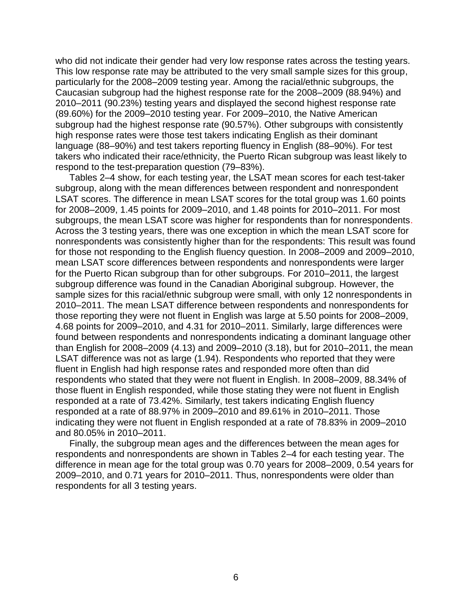who did not indicate their gender had very low response rates across the testing years. This low response rate may be attributed to the very small sample sizes for this group, particularly for the 2008–2009 testing year. Among the racial/ethnic subgroups, the Caucasian subgroup had the highest response rate for the 2008–2009 (88.94%) and 2010–2011 (90.23%) testing years and displayed the second highest response rate (89.60%) for the 2009–2010 testing year. For 2009–2010, the Native American subgroup had the highest response rate (90.57%). Other subgroups with consistently high response rates were those test takers indicating English as their dominant language (88–90%) and test takers reporting fluency in English (88–90%). For test takers who indicated their race/ethnicity, the Puerto Rican subgroup was least likely to respond to the test-preparation question (79–83%).

Tables 2–4 show, for each testing year, the LSAT mean scores for each test-taker subgroup, along with the mean differences between respondent and nonrespondent LSAT scores. The difference in mean LSAT scores for the total group was 1.60 points for 2008–2009, 1.45 points for 2009–2010, and 1.48 points for 2010–2011. For most subgroups, the mean LSAT score was higher for respondents than for nonrespondents. Across the 3 testing years, there was one exception in which the mean LSAT score for nonrespondents was consistently higher than for the respondents: This result was found for those not responding to the English fluency question. In 2008–2009 and 2009–2010, mean LSAT score differences between respondents and nonrespondents were larger for the Puerto Rican subgroup than for other subgroups. For 2010–2011, the largest subgroup difference was found in the Canadian Aboriginal subgroup. However, the sample sizes for this racial/ethnic subgroup were small, with only 12 nonrespondents in 2010–2011. The mean LSAT difference between respondents and nonrespondents for those reporting they were not fluent in English was large at 5.50 points for 2008–2009, 4.68 points for 2009–2010, and 4.31 for 2010–2011. Similarly, large differences were found between respondents and nonrespondents indicating a dominant language other than English for 2008–2009 (4.13) and 2009–2010 (3.18), but for 2010–2011, the mean LSAT difference was not as large (1.94). Respondents who reported that they were fluent in English had high response rates and responded more often than did respondents who stated that they were not fluent in English. In 2008–2009, 88.34% of those fluent in English responded, while those stating they were not fluent in English responded at a rate of 73.42%. Similarly, test takers indicating English fluency responded at a rate of 88.97% in 2009–2010 and 89.61% in 2010–2011. Those indicating they were not fluent in English responded at a rate of 78.83% in 2009–2010 and 80.05% in 2010–2011.

Finally, the subgroup mean ages and the differences between the mean ages for respondents and nonrespondents are shown in Tables 2–4 for each testing year. The difference in mean age for the total group was 0.70 years for 2008–2009, 0.54 years for 2009–2010, and 0.71 years for 2010–2011. Thus, nonrespondents were older than respondents for all 3 testing years.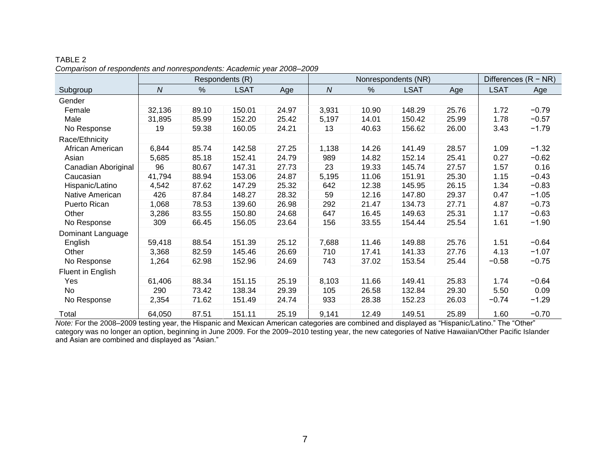|                     |            |       | Respondents (R) |       | Nonrespondents (NR) |       |             |       | Differences $(R - NR)$ |         |
|---------------------|------------|-------|-----------------|-------|---------------------|-------|-------------|-------|------------------------|---------|
| Subgroup            | ${\cal N}$ | %     | <b>LSAT</b>     | Age   | ${\cal N}$          | %     | <b>LSAT</b> | Age   | <b>LSAT</b>            | Age     |
| Gender              |            |       |                 |       |                     |       |             |       |                        |         |
| Female              | 32,136     | 89.10 | 150.01          | 24.97 | 3,931               | 10.90 | 148.29      | 25.76 | 1.72                   | $-0.79$ |
| Male                | 31,895     | 85.99 | 152.20          | 25.42 | 5,197               | 14.01 | 150.42      | 25.99 | 1.78                   | $-0.57$ |
| No Response         | 19         | 59.38 | 160.05          | 24.21 | 13                  | 40.63 | 156.62      | 26.00 | 3.43                   | $-1.79$ |
| Race/Ethnicity      |            |       |                 |       |                     |       |             |       |                        |         |
| African American    | 6,844      | 85.74 | 142.58          | 27.25 | 1,138               | 14.26 | 141.49      | 28.57 | 1.09                   | $-1.32$ |
| Asian               | 5,685      | 85.18 | 152.41          | 24.79 | 989                 | 14.82 | 152.14      | 25.41 | 0.27                   | $-0.62$ |
| Canadian Aboriginal | 96         | 80.67 | 147.31          | 27.73 | 23                  | 19.33 | 145.74      | 27.57 | 1.57                   | 0.16    |
| Caucasian           | 41,794     | 88.94 | 153.06          | 24.87 | 5,195               | 11.06 | 151.91      | 25.30 | 1.15                   | $-0.43$ |
| Hispanic/Latino     | 4,542      | 87.62 | 147.29          | 25.32 | 642                 | 12.38 | 145.95      | 26.15 | 1.34                   | $-0.83$ |
| Native American     | 426        | 87.84 | 148.27          | 28.32 | 59                  | 12.16 | 147.80      | 29.37 | 0.47                   | $-1.05$ |
| Puerto Rican        | 1,068      | 78.53 | 139.60          | 26.98 | 292                 | 21.47 | 134.73      | 27.71 | 4.87                   | $-0.73$ |
| Other               | 3,286      | 83.55 | 150.80          | 24.68 | 647                 | 16.45 | 149.63      | 25.31 | 1.17                   | $-0.63$ |
| No Response         | 309        | 66.45 | 156.05          | 23.64 | 156                 | 33.55 | 154.44      | 25.54 | 1.61                   | $-1.90$ |
| Dominant Language   |            |       |                 |       |                     |       |             |       |                        |         |
| English             | 59,418     | 88.54 | 151.39          | 25.12 | 7,688               | 11.46 | 149.88      | 25.76 | 1.51                   | $-0.64$ |
| Other               | 3,368      | 82.59 | 145.46          | 26.69 | 710                 | 17.41 | 141.33      | 27.76 | 4.13                   | $-1.07$ |
| No Response         | 1,264      | 62.98 | 152.96          | 24.69 | 743                 | 37.02 | 153.54      | 25.44 | $-0.58$                | $-0.75$ |
| Fluent in English   |            |       |                 |       |                     |       |             |       |                        |         |
| Yes                 | 61,406     | 88.34 | 151.15          | 25.19 | 8,103               | 11.66 | 149.41      | 25.83 | 1.74                   | $-0.64$ |
| No                  | 290        | 73.42 | 138.34          | 29.39 | 105                 | 26.58 | 132.84      | 29.30 | 5.50                   | 0.09    |
| No Response         | 2,354      | 71.62 | 151.49          | 24.74 | 933                 | 28.38 | 152.23      | 26.03 | $-0.74$                | $-1.29$ |
| Total               | 64,050     | 87.51 | 151.11          | 25.19 | 9,141               | 12.49 | 149.51      | 25.89 | 1.60                   | $-0.70$ |

TABLE 2 *Comparison of respondents and nonrespondents: Academic year 2008*–*2009*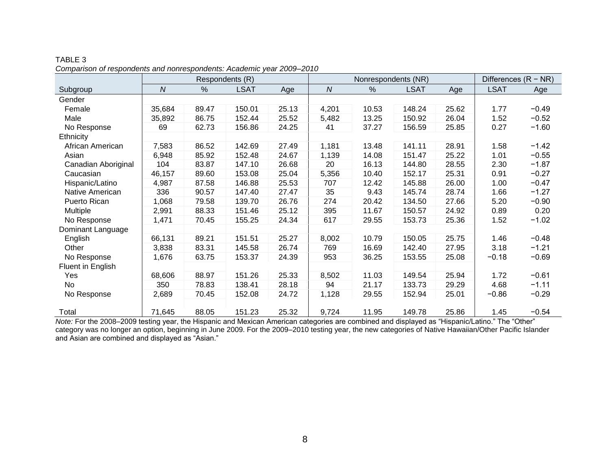|                     |                  |       | Respondents (R) |       |            | Nonrespondents (NR) |             |       | Differences $(R - NR)$ |         |
|---------------------|------------------|-------|-----------------|-------|------------|---------------------|-------------|-------|------------------------|---------|
| Subgroup            | $\boldsymbol{N}$ | $\%$  | <b>LSAT</b>     | Age   | ${\cal N}$ | %                   | <b>LSAT</b> | Age   | <b>LSAT</b>            | Age     |
| Gender              |                  |       |                 |       |            |                     |             |       |                        |         |
| Female              | 35,684           | 89.47 | 150.01          | 25.13 | 4,201      | 10.53               | 148.24      | 25.62 | 1.77                   | $-0.49$ |
| Male                | 35,892           | 86.75 | 152.44          | 25.52 | 5,482      | 13.25               | 150.92      | 26.04 | 1.52                   | $-0.52$ |
| No Response         | 69               | 62.73 | 156.86          | 24.25 | 41         | 37.27               | 156.59      | 25.85 | 0.27                   | $-1.60$ |
| Ethnicity           |                  |       |                 |       |            |                     |             |       |                        |         |
| African American    | 7,583            | 86.52 | 142.69          | 27.49 | 1,181      | 13.48               | 141.11      | 28.91 | 1.58                   | $-1.42$ |
| Asian               | 6,948            | 85.92 | 152.48          | 24.67 | 1,139      | 14.08               | 151.47      | 25.22 | 1.01                   | $-0.55$ |
| Canadian Aboriginal | 104              | 83.87 | 147.10          | 26.68 | 20         | 16.13               | 144.80      | 28.55 | 2.30                   | $-1.87$ |
| Caucasian           | 46,157           | 89.60 | 153.08          | 25.04 | 5,356      | 10.40               | 152.17      | 25.31 | 0.91                   | $-0.27$ |
| Hispanic/Latino     | 4,987            | 87.58 | 146.88          | 25.53 | 707        | 12.42               | 145.88      | 26.00 | 1.00                   | $-0.47$ |
| Native American     | 336              | 90.57 | 147.40          | 27.47 | 35         | 9.43                | 145.74      | 28.74 | 1.66                   | $-1.27$ |
| Puerto Rican        | 1,068            | 79.58 | 139.70          | 26.76 | 274        | 20.42               | 134.50      | 27.66 | 5.20                   | $-0.90$ |
| Multiple            | 2,991            | 88.33 | 151.46          | 25.12 | 395        | 11.67               | 150.57      | 24.92 | 0.89                   | 0.20    |
| No Response         | 1,471            | 70.45 | 155.25          | 24.34 | 617        | 29.55               | 153.73      | 25.36 | 1.52                   | $-1.02$ |
| Dominant Language   |                  |       |                 |       |            |                     |             |       |                        |         |
| English             | 66,131           | 89.21 | 151.51          | 25.27 | 8,002      | 10.79               | 150.05      | 25.75 | 1.46                   | $-0.48$ |
| Other               | 3,838            | 83.31 | 145.58          | 26.74 | 769        | 16.69               | 142.40      | 27.95 | 3.18                   | $-1.21$ |
| No Response         | 1,676            | 63.75 | 153.37          | 24.39 | 953        | 36.25               | 153.55      | 25.08 | $-0.18$                | $-0.69$ |
| Fluent in English   |                  |       |                 |       |            |                     |             |       |                        |         |
| Yes                 | 68,606           | 88.97 | 151.26          | 25.33 | 8,502      | 11.03               | 149.54      | 25.94 | 1.72                   | $-0.61$ |
| No                  | 350              | 78.83 | 138.41          | 28.18 | 94         | 21.17               | 133.73      | 29.29 | 4.68                   | $-1.11$ |
| No Response         | 2,689            | 70.45 | 152.08          | 24.72 | 1,128      | 29.55               | 152.94      | 25.01 | $-0.86$                | $-0.29$ |
| Total               | 71,645           | 88.05 | 151.23          | 25.32 | 9,724      | 11.95               | 149.78      | 25.86 | 1.45                   | $-0.54$ |

TABLE 3 *Comparison of respondents and nonrespondents: Academic year 2009–2010*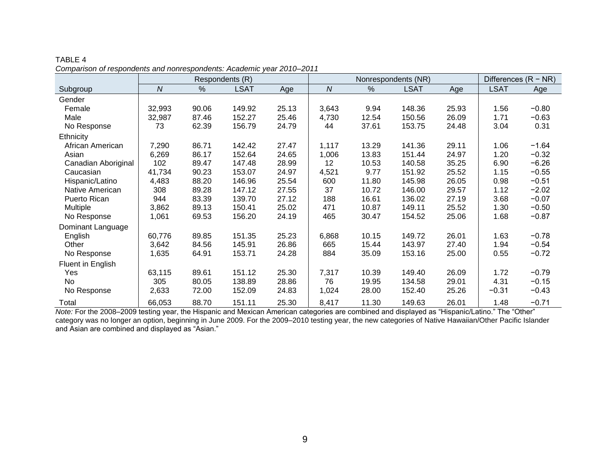|                     |              |       | Respondents (R) |       | Nonrespondents (NR) |       |             |       | Differences $(R - NR)$ |         |
|---------------------|--------------|-------|-----------------|-------|---------------------|-------|-------------|-------|------------------------|---------|
| Subgroup            | $\mathcal N$ | $\%$  | <b>LSAT</b>     | Age   | $\boldsymbol{N}$    | $\%$  | <b>LSAT</b> | Age   | <b>LSAT</b>            | Age     |
| Gender              |              |       |                 |       |                     |       |             |       |                        |         |
| Female              | 32,993       | 90.06 | 149.92          | 25.13 | 3,643               | 9.94  | 148.36      | 25.93 | 1.56                   | $-0.80$ |
| Male                | 32,987       | 87.46 | 152.27          | 25.46 | 4,730               | 12.54 | 150.56      | 26.09 | 1.71                   | $-0.63$ |
| No Response         | 73           | 62.39 | 156.79          | 24.79 | 44                  | 37.61 | 153.75      | 24.48 | 3.04                   | 0.31    |
| <b>Ethnicity</b>    |              |       |                 |       |                     |       |             |       |                        |         |
| African American    | 7,290        | 86.71 | 142.42          | 27.47 | 1,117               | 13.29 | 141.36      | 29.11 | 1.06                   | $-1.64$ |
| Asian               | 6,269        | 86.17 | 152.64          | 24.65 | 1,006               | 13.83 | 151.44      | 24.97 | 1.20                   | $-0.32$ |
| Canadian Aboriginal | 102          | 89.47 | 147.48          | 28.99 | 12                  | 10.53 | 140.58      | 35.25 | 6.90                   | $-6.26$ |
| Caucasian           | 41,734       | 90.23 | 153.07          | 24.97 | 4,521               | 9.77  | 151.92      | 25.52 | 1.15                   | $-0.55$ |
| Hispanic/Latino     | 4,483        | 88.20 | 146.96          | 25.54 | 600                 | 11.80 | 145.98      | 26.05 | 0.98                   | $-0.51$ |
| Native American     | 308          | 89.28 | 147.12          | 27.55 | 37                  | 10.72 | 146.00      | 29.57 | 1.12                   | $-2.02$ |
| Puerto Rican        | 944          | 83.39 | 139.70          | 27.12 | 188                 | 16.61 | 136.02      | 27.19 | 3.68                   | $-0.07$ |
| <b>Multiple</b>     | 3,862        | 89.13 | 150.41          | 25.02 | 471                 | 10.87 | 149.11      | 25.52 | 1.30                   | $-0.50$ |
| No Response         | 1,061        | 69.53 | 156.20          | 24.19 | 465                 | 30.47 | 154.52      | 25.06 | 1.68                   | $-0.87$ |
| Dominant Language   |              |       |                 |       |                     |       |             |       |                        |         |
| English             | 60,776       | 89.85 | 151.35          | 25.23 | 6,868               | 10.15 | 149.72      | 26.01 | 1.63                   | $-0.78$ |
| Other               | 3,642        | 84.56 | 145.91          | 26.86 | 665                 | 15.44 | 143.97      | 27.40 | 1.94                   | $-0.54$ |
| No Response         | 1,635        | 64.91 | 153.71          | 24.28 | 884                 | 35.09 | 153.16      | 25.00 | 0.55                   | $-0.72$ |
| Fluent in English   |              |       |                 |       |                     |       |             |       |                        |         |
| Yes                 | 63,115       | 89.61 | 151.12          | 25.30 | 7,317               | 10.39 | 149.40      | 26.09 | 1.72                   | $-0.79$ |
| No                  | 305          | 80.05 | 138.89          | 28.86 | 76                  | 19.95 | 134.58      | 29.01 | 4.31                   | $-0.15$ |
| No Response         | 2,633        | 72.00 | 152.09          | 24.83 | 1,024               | 28.00 | 152.40      | 25.26 | $-0.31$                | $-0.43$ |
| Total               | 66,053       | 88.70 | 151.11          | 25.30 | 8,417               | 11.30 | 149.63      | 26.01 | 1.48                   | $-0.71$ |

TABLE 4 *Comparison of respondents and nonrespondents: Academic year 2010–2011*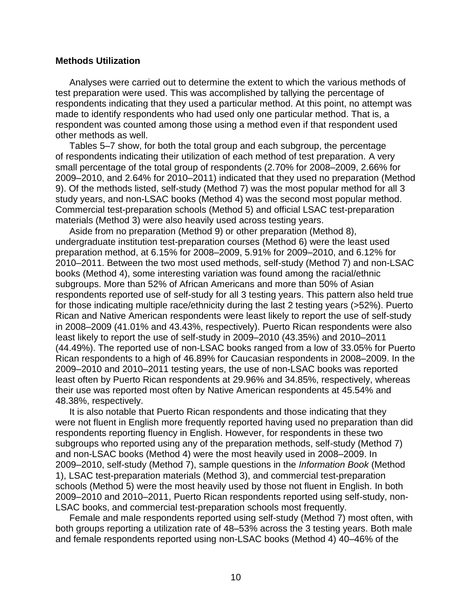#### **Methods Utilization**

Analyses were carried out to determine the extent to which the various methods of test preparation were used. This was accomplished by tallying the percentage of respondents indicating that they used a particular method. At this point, no attempt was made to identify respondents who had used only one particular method. That is, a respondent was counted among those using a method even if that respondent used other methods as well.

Tables 5–7 show, for both the total group and each subgroup, the percentage of respondents indicating their utilization of each method of test preparation. A very small percentage of the total group of respondents (2.70% for 2008–2009, 2.66% for 2009–2010, and 2.64% for 2010–2011) indicated that they used no preparation (Method 9). Of the methods listed, self-study (Method 7) was the most popular method for all 3 study years, and non-LSAC books (Method 4) was the second most popular method. Commercial test-preparation schools (Method 5) and official LSAC test-preparation materials (Method 3) were also heavily used across testing years.

Aside from no preparation (Method 9) or other preparation (Method 8), undergraduate institution test-preparation courses (Method 6) were the least used preparation method, at 6.15% for 2008–2009, 5.91% for 2009–2010, and 6.12% for 2010–2011. Between the two most used methods, self-study (Method 7) and non-LSAC books (Method 4), some interesting variation was found among the racial/ethnic subgroups. More than 52% of African Americans and more than 50% of Asian respondents reported use of self-study for all 3 testing years. This pattern also held true for those indicating multiple race/ethnicity during the last 2 testing years (>52%). Puerto Rican and Native American respondents were least likely to report the use of self-study in 2008–2009 (41.01% and 43.43%, respectively). Puerto Rican respondents were also least likely to report the use of self-study in 2009–2010 (43.35%) and 2010–2011 (44.49%). The reported use of non-LSAC books ranged from a low of 33.05% for Puerto Rican respondents to a high of 46.89% for Caucasian respondents in 2008–2009. In the 2009–2010 and 2010–2011 testing years, the use of non-LSAC books was reported least often by Puerto Rican respondents at 29.96% and 34.85%, respectively, whereas their use was reported most often by Native American respondents at 45.54% and 48.38%, respectively.

It is also notable that Puerto Rican respondents and those indicating that they were not fluent in English more frequently reported having used no preparation than did respondents reporting fluency in English. However, for respondents in these two subgroups who reported using any of the preparation methods, self-study (Method 7) and non-LSAC books (Method 4) were the most heavily used in 2008–2009. In 2009–2010, self-study (Method 7), sample questions in the *Information Book* (Method 1), LSAC test-preparation materials (Method 3), and commercial test-preparation schools (Method 5) were the most heavily used by those not fluent in English. In both 2009–2010 and 2010–2011, Puerto Rican respondents reported using self-study, non-LSAC books, and commercial test-preparation schools most frequently.

Female and male respondents reported using self-study (Method 7) most often, with both groups reporting a utilization rate of 48–53% across the 3 testing years. Both male and female respondents reported using non-LSAC books (Method 4) 40–46% of the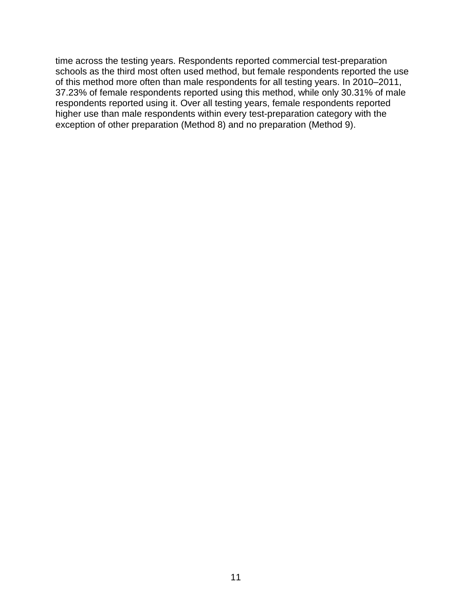time across the testing years. Respondents reported commercial test-preparation schools as the third most often used method, but female respondents reported the use of this method more often than male respondents for all testing years. In 2010–2011, 37.23% of female respondents reported using this method, while only 30.31% of male respondents reported using it. Over all testing years, female respondents reported higher use than male respondents within every test-preparation category with the exception of other preparation (Method 8) and no preparation (Method 9).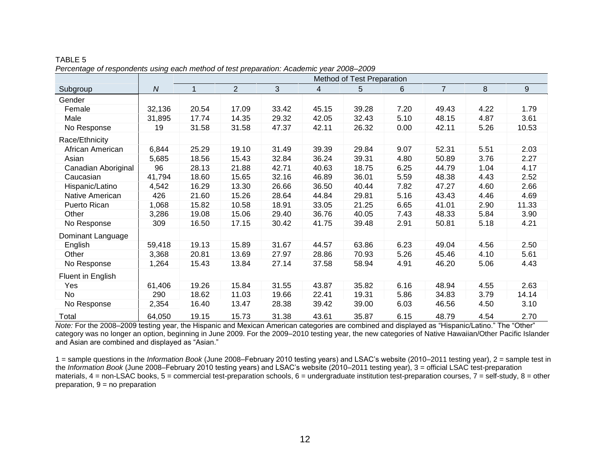|                     |                | Method of Test Preparation |                |       |       |       |       |                |      |                  |  |  |
|---------------------|----------------|----------------------------|----------------|-------|-------|-------|-------|----------------|------|------------------|--|--|
| Subgroup            | $\overline{N}$ | 1                          | $\overline{2}$ | 3     | 4     | 5     | $6\,$ | $\overline{7}$ | 8    | $\boldsymbol{9}$ |  |  |
| Gender              |                |                            |                |       |       |       |       |                |      |                  |  |  |
| Female              | 32,136         | 20.54                      | 17.09          | 33.42 | 45.15 | 39.28 | 7.20  | 49.43          | 4.22 | 1.79             |  |  |
| Male                | 31,895         | 17.74                      | 14.35          | 29.32 | 42.05 | 32.43 | 5.10  | 48.15          | 4.87 | 3.61             |  |  |
| No Response         | 19             | 31.58                      | 31.58          | 47.37 | 42.11 | 26.32 | 0.00  | 42.11          | 5.26 | 10.53            |  |  |
| Race/Ethnicity      |                |                            |                |       |       |       |       |                |      |                  |  |  |
| African American    | 6,844          | 25.29                      | 19.10          | 31.49 | 39.39 | 29.84 | 9.07  | 52.31          | 5.51 | 2.03             |  |  |
| Asian               | 5,685          | 18.56                      | 15.43          | 32.84 | 36.24 | 39.31 | 4.80  | 50.89          | 3.76 | 2.27             |  |  |
| Canadian Aboriginal | 96             | 28.13                      | 21.88          | 42.71 | 40.63 | 18.75 | 6.25  | 44.79          | 1.04 | 4.17             |  |  |
| Caucasian           | 41,794         | 18.60                      | 15.65          | 32.16 | 46.89 | 36.01 | 5.59  | 48.38          | 4.43 | 2.52             |  |  |
| Hispanic/Latino     | 4,542          | 16.29                      | 13.30          | 26.66 | 36.50 | 40.44 | 7.82  | 47.27          | 4.60 | 2.66             |  |  |
| Native American     | 426            | 21.60                      | 15.26          | 28.64 | 44.84 | 29.81 | 5.16  | 43.43          | 4.46 | 4.69             |  |  |
| Puerto Rican        | 1,068          | 15.82                      | 10.58          | 18.91 | 33.05 | 21.25 | 6.65  | 41.01          | 2.90 | 11.33            |  |  |
| Other               | 3,286          | 19.08                      | 15.06          | 29.40 | 36.76 | 40.05 | 7.43  | 48.33          | 5.84 | 3.90             |  |  |
| No Response         | 309            | 16.50                      | 17.15          | 30.42 | 41.75 | 39.48 | 2.91  | 50.81          | 5.18 | 4.21             |  |  |
| Dominant Language   |                |                            |                |       |       |       |       |                |      |                  |  |  |
| English             | 59,418         | 19.13                      | 15.89          | 31.67 | 44.57 | 63.86 | 6.23  | 49.04          | 4.56 | 2.50             |  |  |
| Other               | 3,368          | 20.81                      | 13.69          | 27.97 | 28.86 | 70.93 | 5.26  | 45.46          | 4.10 | 5.61             |  |  |
| No Response         | 1,264          | 15.43                      | 13.84          | 27.14 | 37.58 | 58.94 | 4.91  | 46.20          | 5.06 | 4.43             |  |  |
| Fluent in English   |                |                            |                |       |       |       |       |                |      |                  |  |  |
| Yes                 | 61,406         | 19.26                      | 15.84          | 31.55 | 43.87 | 35.82 | 6.16  | 48.94          | 4.55 | 2.63             |  |  |
| No                  | 290            | 18.62                      | 11.03          | 19.66 | 22.41 | 19.31 | 5.86  | 34.83          | 3.79 | 14.14            |  |  |
| No Response         | 2,354          | 16.40                      | 13.47          | 28.38 | 39.42 | 39.00 | 6.03  | 46.56          | 4.50 | 3.10             |  |  |
| Total               | 64,050         | 19.15                      | 15.73          | 31.38 | 43.61 | 35.87 | 6.15  | 48.79          | 4.54 | 2.70             |  |  |

TABLE 5 *Percentage of respondents using each method of test preparation: Academic year 2008*–*2009*

1 = sample questions in the *Information Book* (June 2008–February 2010 testing years) and LSAC's website (2010–2011 testing year), 2 = sample test in the *Information Book* (June 2008–February 2010 testing years) and LSAC's website (2010–2011 testing year), 3 = official LSAC test-preparation materials,  $4 =$  non-LSAC books,  $5 =$  commercial test-preparation schools,  $6 =$  undergraduate institution test-preparation courses,  $7 =$  self-study,  $8 =$  other preparation,  $9 = no$  preparation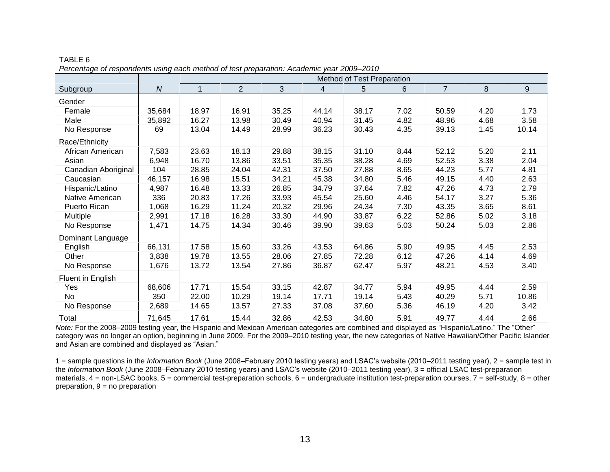|                     |                  |       | Method of Test Preparation |       |       |       |      |                |      |       |  |  |  |
|---------------------|------------------|-------|----------------------------|-------|-------|-------|------|----------------|------|-------|--|--|--|
| Subgroup            | $\boldsymbol{N}$ |       | $\overline{2}$             | 3     | 4     | 5     | 6    | $\overline{7}$ | 8    | 9     |  |  |  |
| Gender              |                  |       |                            |       |       |       |      |                |      |       |  |  |  |
| Female              | 35,684           | 18.97 | 16.91                      | 35.25 | 44.14 | 38.17 | 7.02 | 50.59          | 4.20 | 1.73  |  |  |  |
| Male                | 35,892           | 16.27 | 13.98                      | 30.49 | 40.94 | 31.45 | 4.82 | 48.96          | 4.68 | 3.58  |  |  |  |
| No Response         | 69               | 13.04 | 14.49                      | 28.99 | 36.23 | 30.43 | 4.35 | 39.13          | 1.45 | 10.14 |  |  |  |
| Race/Ethnicity      |                  |       |                            |       |       |       |      |                |      |       |  |  |  |
| African American    | 7,583            | 23.63 | 18.13                      | 29.88 | 38.15 | 31.10 | 8.44 | 52.12          | 5.20 | 2.11  |  |  |  |
| Asian               | 6,948            | 16.70 | 13.86                      | 33.51 | 35.35 | 38.28 | 4.69 | 52.53          | 3.38 | 2.04  |  |  |  |
| Canadian Aboriginal | 104              | 28.85 | 24.04                      | 42.31 | 37.50 | 27.88 | 8.65 | 44.23          | 5.77 | 4.81  |  |  |  |
| Caucasian           | 46,157           | 16.98 | 15.51                      | 34.21 | 45.38 | 34.80 | 5.46 | 49.15          | 4.40 | 2.63  |  |  |  |
| Hispanic/Latino     | 4,987            | 16.48 | 13.33                      | 26.85 | 34.79 | 37.64 | 7.82 | 47.26          | 4.73 | 2.79  |  |  |  |
| Native American     | 336              | 20.83 | 17.26                      | 33.93 | 45.54 | 25.60 | 4.46 | 54.17          | 3.27 | 5.36  |  |  |  |
| Puerto Rican        | 1,068            | 16.29 | 11.24                      | 20.32 | 29.96 | 24.34 | 7.30 | 43.35          | 3.65 | 8.61  |  |  |  |
| Multiple            | 2,991            | 17.18 | 16.28                      | 33.30 | 44.90 | 33.87 | 6.22 | 52.86          | 5.02 | 3.18  |  |  |  |
| No Response         | 1,471            | 14.75 | 14.34                      | 30.46 | 39.90 | 39.63 | 5.03 | 50.24          | 5.03 | 2.86  |  |  |  |
| Dominant Language   |                  |       |                            |       |       |       |      |                |      |       |  |  |  |
| English             | 66,131           | 17.58 | 15.60                      | 33.26 | 43.53 | 64.86 | 5.90 | 49.95          | 4.45 | 2.53  |  |  |  |
| Other               | 3,838            | 19.78 | 13.55                      | 28.06 | 27.85 | 72.28 | 6.12 | 47.26          | 4.14 | 4.69  |  |  |  |
| No Response         | 1,676            | 13.72 | 13.54                      | 27.86 | 36.87 | 62.47 | 5.97 | 48.21          | 4.53 | 3.40  |  |  |  |
| Fluent in English   |                  |       |                            |       |       |       |      |                |      |       |  |  |  |
| Yes                 | 68,606           | 17.71 | 15.54                      | 33.15 | 42.87 | 34.77 | 5.94 | 49.95          | 4.44 | 2.59  |  |  |  |
| No                  | 350              | 22.00 | 10.29                      | 19.14 | 17.71 | 19.14 | 5.43 | 40.29          | 5.71 | 10.86 |  |  |  |
| No Response         | 2,689            | 14.65 | 13.57                      | 27.33 | 37.08 | 37.60 | 5.36 | 46.19          | 4.20 | 3.42  |  |  |  |
| Total               | 71,645           | 17.61 | 15.44                      | 32.86 | 42.53 | 34.80 | 5.91 | 49.77          | 4.44 | 2.66  |  |  |  |

TABLE 6 *Percentage of respondents using each method of test preparation: Academic year 2009*–*2010*

1 = sample questions in the *Information Book* (June 2008–February 2010 testing years) and LSAC's website (2010–2011 testing year), 2 = sample test in the *Information Book* (June 2008–February 2010 testing years) and LSAC's website (2010–2011 testing year), 3 = official LSAC test-preparation materials,  $4 =$  non-LSAC books,  $5 =$  commercial test-preparation schools,  $6 =$  undergraduate institution test-preparation courses,  $7 =$  self-study,  $8 =$  other preparation,  $9 = no$  preparation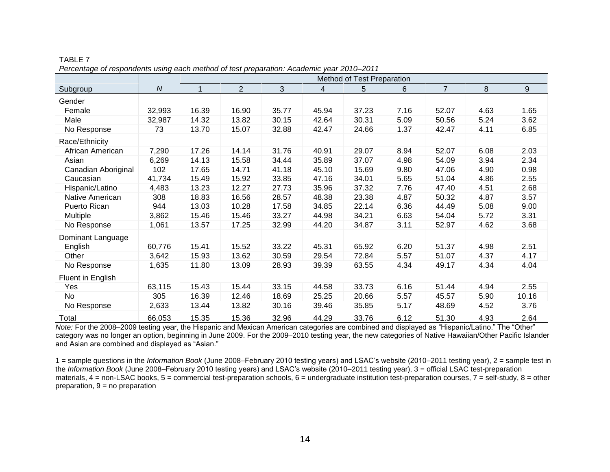|                     |                  |       | Method of Test Preparation |       |       |       |      |                |      |       |  |  |  |
|---------------------|------------------|-------|----------------------------|-------|-------|-------|------|----------------|------|-------|--|--|--|
| Subgroup            | $\boldsymbol{N}$ |       | $\overline{2}$             | 3     | 4     | 5     | 6    | $\overline{7}$ | 8    | 9     |  |  |  |
| Gender              |                  |       |                            |       |       |       |      |                |      |       |  |  |  |
| Female              | 32,993           | 16.39 | 16.90                      | 35.77 | 45.94 | 37.23 | 7.16 | 52.07          | 4.63 | 1.65  |  |  |  |
| Male                | 32,987           | 14.32 | 13.82                      | 30.15 | 42.64 | 30.31 | 5.09 | 50.56          | 5.24 | 3.62  |  |  |  |
| No Response         | 73               | 13.70 | 15.07                      | 32.88 | 42.47 | 24.66 | 1.37 | 42.47          | 4.11 | 6.85  |  |  |  |
| Race/Ethnicity      |                  |       |                            |       |       |       |      |                |      |       |  |  |  |
| African American    | 7,290            | 17.26 | 14.14                      | 31.76 | 40.91 | 29.07 | 8.94 | 52.07          | 6.08 | 2.03  |  |  |  |
| Asian               | 6,269            | 14.13 | 15.58                      | 34.44 | 35.89 | 37.07 | 4.98 | 54.09          | 3.94 | 2.34  |  |  |  |
| Canadian Aboriginal | 102              | 17.65 | 14.71                      | 41.18 | 45.10 | 15.69 | 9.80 | 47.06          | 4.90 | 0.98  |  |  |  |
| Caucasian           | 41,734           | 15.49 | 15.92                      | 33.85 | 47.16 | 34.01 | 5.65 | 51.04          | 4.86 | 2.55  |  |  |  |
| Hispanic/Latino     | 4,483            | 13.23 | 12.27                      | 27.73 | 35.96 | 37.32 | 7.76 | 47.40          | 4.51 | 2.68  |  |  |  |
| Native American     | 308              | 18.83 | 16.56                      | 28.57 | 48.38 | 23.38 | 4.87 | 50.32          | 4.87 | 3.57  |  |  |  |
| Puerto Rican        | 944              | 13.03 | 10.28                      | 17.58 | 34.85 | 22.14 | 6.36 | 44.49          | 5.08 | 9.00  |  |  |  |
| <b>Multiple</b>     | 3,862            | 15.46 | 15.46                      | 33.27 | 44.98 | 34.21 | 6.63 | 54.04          | 5.72 | 3.31  |  |  |  |
| No Response         | 1,061            | 13.57 | 17.25                      | 32.99 | 44.20 | 34.87 | 3.11 | 52.97          | 4.62 | 3.68  |  |  |  |
| Dominant Language   |                  |       |                            |       |       |       |      |                |      |       |  |  |  |
| English             | 60,776           | 15.41 | 15.52                      | 33.22 | 45.31 | 65.92 | 6.20 | 51.37          | 4.98 | 2.51  |  |  |  |
| Other               | 3,642            | 15.93 | 13.62                      | 30.59 | 29.54 | 72.84 | 5.57 | 51.07          | 4.37 | 4.17  |  |  |  |
| No Response         | 1,635            | 11.80 | 13.09                      | 28.93 | 39.39 | 63.55 | 4.34 | 49.17          | 4.34 | 4.04  |  |  |  |
| Fluent in English   |                  |       |                            |       |       |       |      |                |      |       |  |  |  |
| Yes                 | 63,115           | 15.43 | 15.44                      | 33.15 | 44.58 | 33.73 | 6.16 | 51.44          | 4.94 | 2.55  |  |  |  |
| No                  | 305              | 16.39 | 12.46                      | 18.69 | 25.25 | 20.66 | 5.57 | 45.57          | 5.90 | 10.16 |  |  |  |
| No Response         | 2,633            | 13.44 | 13.82                      | 30.16 | 39.46 | 35.85 | 5.17 | 48.69          | 4.52 | 3.76  |  |  |  |
| Total               | 66,053           | 15.35 | 15.36                      | 32.96 | 44.29 | 33.76 | 6.12 | 51.30          | 4.93 | 2.64  |  |  |  |

TABLE 7 *Percentage of respondents using each method of test preparation: Academic year 2010*–*2011*

1 = sample questions in the *Information Book* (June 2008–February 2010 testing years) and LSAC's website (2010–2011 testing year), 2 = sample test in the *Information Book* (June 2008–February 2010 testing years) and LSAC's website (2010–2011 testing year), 3 = official LSAC test-preparation materials,  $4 =$  non-LSAC books,  $5 =$  commercial test-preparation schools,  $6 =$  undergraduate institution test-preparation courses,  $7 =$  self-study,  $8 =$  other preparation,  $9 = no$  preparation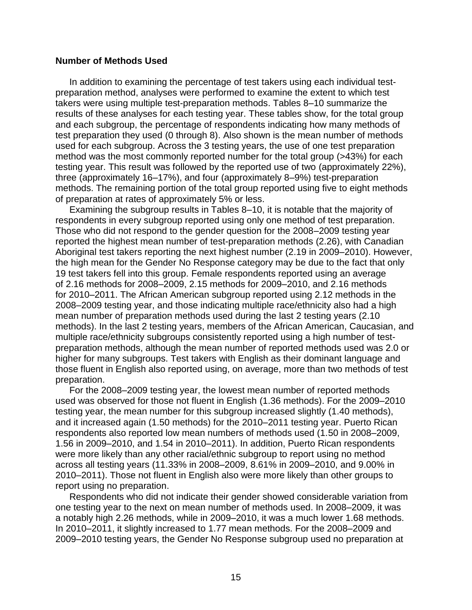#### **Number of Methods Used**

In addition to examining the percentage of test takers using each individual testpreparation method, analyses were performed to examine the extent to which test takers were using multiple test-preparation methods. Tables 8–10 summarize the results of these analyses for each testing year. These tables show, for the total group and each subgroup, the percentage of respondents indicating how many methods of test preparation they used (0 through 8). Also shown is the mean number of methods used for each subgroup. Across the 3 testing years, the use of one test preparation method was the most commonly reported number for the total group (>43%) for each testing year. This result was followed by the reported use of two (approximately 22%), three (approximately 16–17%), and four (approximately 8–9%) test-preparation methods. The remaining portion of the total group reported using five to eight methods of preparation at rates of approximately 5% or less.

Examining the subgroup results in Tables 8–10, it is notable that the majority of respondents in every subgroup reported using only one method of test preparation. Those who did not respond to the gender question for the 2008–2009 testing year reported the highest mean number of test-preparation methods (2.26), with Canadian Aboriginal test takers reporting the next highest number (2.19 in 2009–2010). However, the high mean for the Gender No Response category may be due to the fact that only 19 test takers fell into this group. Female respondents reported using an average of 2.16 methods for 2008–2009, 2.15 methods for 2009–2010, and 2.16 methods for 2010–2011. The African American subgroup reported using 2.12 methods in the 2008–2009 testing year, and those indicating multiple race/ethnicity also had a high mean number of preparation methods used during the last 2 testing years (2.10 methods). In the last 2 testing years, members of the African American, Caucasian, and multiple race/ethnicity subgroups consistently reported using a high number of testpreparation methods, although the mean number of reported methods used was 2.0 or higher for many subgroups. Test takers with English as their dominant language and those fluent in English also reported using, on average, more than two methods of test preparation.

For the 2008–2009 testing year, the lowest mean number of reported methods used was observed for those not fluent in English (1.36 methods). For the 2009–2010 testing year, the mean number for this subgroup increased slightly (1.40 methods), and it increased again (1.50 methods) for the 2010–2011 testing year. Puerto Rican respondents also reported low mean numbers of methods used (1.50 in 2008–2009, 1.56 in 2009–2010, and 1.54 in 2010–2011). In addition, Puerto Rican respondents were more likely than any other racial/ethnic subgroup to report using no method across all testing years (11.33% in 2008–2009, 8.61% in 2009–2010, and 9.00% in 2010–2011). Those not fluent in English also were more likely than other groups to report using no preparation.

Respondents who did not indicate their gender showed considerable variation from one testing year to the next on mean number of methods used. In 2008–2009, it was a notably high 2.26 methods, while in 2009–2010, it was a much lower 1.68 methods. In 2010–2011, it slightly increased to 1.77 mean methods. For the 2008–2009 and 2009–2010 testing years, the Gender No Response subgroup used no preparation at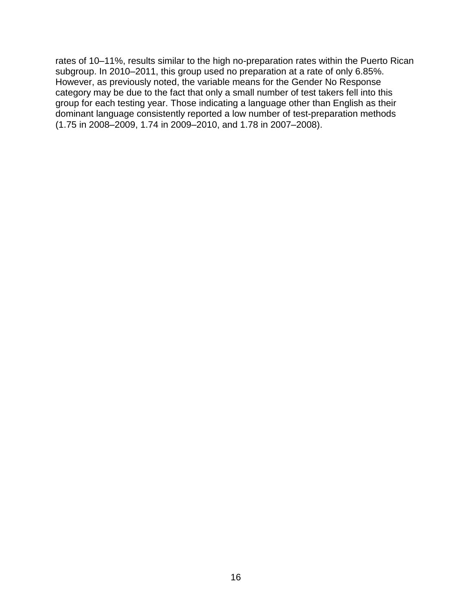rates of 10–11%, results similar to the high no-preparation rates within the Puerto Rican subgroup. In 2010–2011, this group used no preparation at a rate of only 6.85%. However, as previously noted, the variable means for the Gender No Response category may be due to the fact that only a small number of test takers fell into this group for each testing year. Those indicating a language other than English as their dominant language consistently reported a low number of test-preparation methods (1.75 in 2008–2009, 1.74 in 2009–2010, and 1.78 in 2007–2008).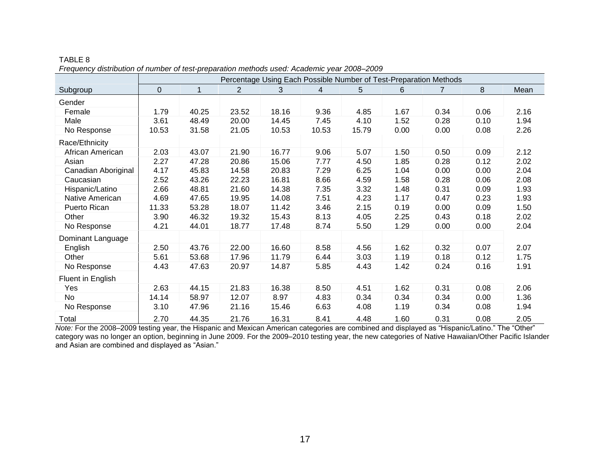|                     | Percentage Using Each Possible Number of Test-Preparation Methods |       |                |       |       |       |      |      |      |      |  |  |
|---------------------|-------------------------------------------------------------------|-------|----------------|-------|-------|-------|------|------|------|------|--|--|
| Subgroup            | 0                                                                 | 1     | $\overline{2}$ | 3     | 4     | 5     | 6    |      | 8    | Mean |  |  |
| Gender              |                                                                   |       |                |       |       |       |      |      |      |      |  |  |
| Female              | 1.79                                                              | 40.25 | 23.52          | 18.16 | 9.36  | 4.85  | 1.67 | 0.34 | 0.06 | 2.16 |  |  |
| Male                | 3.61                                                              | 48.49 | 20.00          | 14.45 | 7.45  | 4.10  | 1.52 | 0.28 | 0.10 | 1.94 |  |  |
| No Response         | 10.53                                                             | 31.58 | 21.05          | 10.53 | 10.53 | 15.79 | 0.00 | 0.00 | 0.08 | 2.26 |  |  |
| Race/Ethnicity      |                                                                   |       |                |       |       |       |      |      |      |      |  |  |
| African American    | 2.03                                                              | 43.07 | 21.90          | 16.77 | 9.06  | 5.07  | 1.50 | 0.50 | 0.09 | 2.12 |  |  |
| Asian               | 2.27                                                              | 47.28 | 20.86          | 15.06 | 7.77  | 4.50  | 1.85 | 0.28 | 0.12 | 2.02 |  |  |
| Canadian Aboriginal | 4.17                                                              | 45.83 | 14.58          | 20.83 | 7.29  | 6.25  | 1.04 | 0.00 | 0.00 | 2.04 |  |  |
| Caucasian           | 2.52                                                              | 43.26 | 22.23          | 16.81 | 8.66  | 4.59  | 1.58 | 0.28 | 0.06 | 2.08 |  |  |
| Hispanic/Latino     | 2.66                                                              | 48.81 | 21.60          | 14.38 | 7.35  | 3.32  | 1.48 | 0.31 | 0.09 | 1.93 |  |  |
| Native American     | 4.69                                                              | 47.65 | 19.95          | 14.08 | 7.51  | 4.23  | 1.17 | 0.47 | 0.23 | 1.93 |  |  |
| Puerto Rican        | 11.33                                                             | 53.28 | 18.07          | 11.42 | 3.46  | 2.15  | 0.19 | 0.00 | 0.09 | 1.50 |  |  |
| Other               | 3.90                                                              | 46.32 | 19.32          | 15.43 | 8.13  | 4.05  | 2.25 | 0.43 | 0.18 | 2.02 |  |  |
| No Response         | 4.21                                                              | 44.01 | 18.77          | 17.48 | 8.74  | 5.50  | 1.29 | 0.00 | 0.00 | 2.04 |  |  |
| Dominant Language   |                                                                   |       |                |       |       |       |      |      |      |      |  |  |
| English             | 2.50                                                              | 43.76 | 22.00          | 16.60 | 8.58  | 4.56  | 1.62 | 0.32 | 0.07 | 2.07 |  |  |
| Other               | 5.61                                                              | 53.68 | 17.96          | 11.79 | 6.44  | 3.03  | 1.19 | 0.18 | 0.12 | 1.75 |  |  |
| No Response         | 4.43                                                              | 47.63 | 20.97          | 14.87 | 5.85  | 4.43  | 1.42 | 0.24 | 0.16 | 1.91 |  |  |
| Fluent in English   |                                                                   |       |                |       |       |       |      |      |      |      |  |  |
| Yes                 | 2.63                                                              | 44.15 | 21.83          | 16.38 | 8.50  | 4.51  | 1.62 | 0.31 | 0.08 | 2.06 |  |  |
| <b>No</b>           | 14.14                                                             | 58.97 | 12.07          | 8.97  | 4.83  | 0.34  | 0.34 | 0.34 | 0.00 | 1.36 |  |  |
| No Response         | 3.10                                                              | 47.96 | 21.16          | 15.46 | 6.63  | 4.08  | 1.19 | 0.34 | 0.08 | 1.94 |  |  |
| Total               | 2.70                                                              | 44.35 | 21.76          | 16.31 | 8.41  | 4.48  | 1.60 | 0.31 | 0.08 | 2.05 |  |  |

TABLE 8 *Frequency distribution of number of test-preparation methods used: Academic year 2008*–*2009*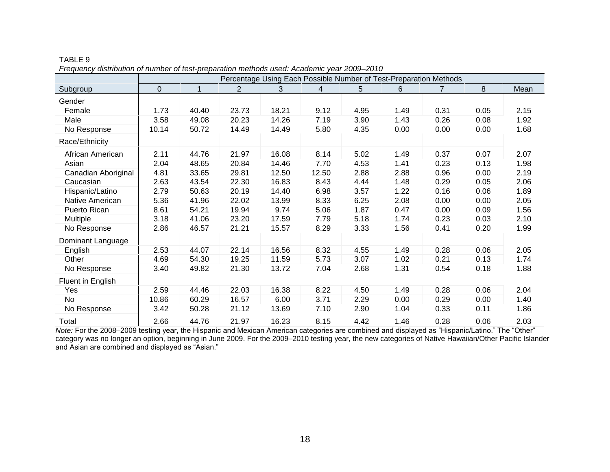|                     | Percentage Using Each Possible Number of Test-Preparation Methods |       |                |       |       |      |      |                |      |      |  |
|---------------------|-------------------------------------------------------------------|-------|----------------|-------|-------|------|------|----------------|------|------|--|
| Subgroup            | $\Omega$                                                          | 1     | $\overline{2}$ | 3     | 4     | 5    | 6    | $\overline{7}$ | 8    | Mean |  |
| Gender              |                                                                   |       |                |       |       |      |      |                |      |      |  |
| Female              | 1.73                                                              | 40.40 | 23.73          | 18.21 | 9.12  | 4.95 | 1.49 | 0.31           | 0.05 | 2.15 |  |
| Male                | 3.58                                                              | 49.08 | 20.23          | 14.26 | 7.19  | 3.90 | 1.43 | 0.26           | 0.08 | 1.92 |  |
| No Response         | 10.14                                                             | 50.72 | 14.49          | 14.49 | 5.80  | 4.35 | 0.00 | 0.00           | 0.00 | 1.68 |  |
| Race/Ethnicity      |                                                                   |       |                |       |       |      |      |                |      |      |  |
| African American    | 2.11                                                              | 44.76 | 21.97          | 16.08 | 8.14  | 5.02 | 1.49 | 0.37           | 0.07 | 2.07 |  |
| Asian               | 2.04                                                              | 48.65 | 20.84          | 14.46 | 7.70  | 4.53 | 1.41 | 0.23           | 0.13 | 1.98 |  |
| Canadian Aboriginal | 4.81                                                              | 33.65 | 29.81          | 12.50 | 12.50 | 2.88 | 2.88 | 0.96           | 0.00 | 2.19 |  |
| Caucasian           | 2.63                                                              | 43.54 | 22.30          | 16.83 | 8.43  | 4.44 | 1.48 | 0.29           | 0.05 | 2.06 |  |
| Hispanic/Latino     | 2.79                                                              | 50.63 | 20.19          | 14.40 | 6.98  | 3.57 | 1.22 | 0.16           | 0.06 | 1.89 |  |
| Native American     | 5.36                                                              | 41.96 | 22.02          | 13.99 | 8.33  | 6.25 | 2.08 | 0.00           | 0.00 | 2.05 |  |
| Puerto Rican        | 8.61                                                              | 54.21 | 19.94          | 9.74  | 5.06  | 1.87 | 0.47 | 0.00           | 0.09 | 1.56 |  |
| <b>Multiple</b>     | 3.18                                                              | 41.06 | 23.20          | 17.59 | 7.79  | 5.18 | 1.74 | 0.23           | 0.03 | 2.10 |  |
| No Response         | 2.86                                                              | 46.57 | 21.21          | 15.57 | 8.29  | 3.33 | 1.56 | 0.41           | 0.20 | 1.99 |  |
| Dominant Language   |                                                                   |       |                |       |       |      |      |                |      |      |  |
| English             | 2.53                                                              | 44.07 | 22.14          | 16.56 | 8.32  | 4.55 | 1.49 | 0.28           | 0.06 | 2.05 |  |
| Other               | 4.69                                                              | 54.30 | 19.25          | 11.59 | 5.73  | 3.07 | 1.02 | 0.21           | 0.13 | 1.74 |  |
| No Response         | 3.40                                                              | 49.82 | 21.30          | 13.72 | 7.04  | 2.68 | 1.31 | 0.54           | 0.18 | 1.88 |  |
| Fluent in English   |                                                                   |       |                |       |       |      |      |                |      |      |  |
| Yes                 | 2.59                                                              | 44.46 | 22.03          | 16.38 | 8.22  | 4.50 | 1.49 | 0.28           | 0.06 | 2.04 |  |
| No                  | 10.86                                                             | 60.29 | 16.57          | 6.00  | 3.71  | 2.29 | 0.00 | 0.29           | 0.00 | 1.40 |  |
| No Response         | 3.42                                                              | 50.28 | 21.12          | 13.69 | 7.10  | 2.90 | 1.04 | 0.33           | 0.11 | 1.86 |  |
| Total               | 2.66                                                              | 44.76 | 21.97          | 16.23 | 8.15  | 4.42 | 1.46 | 0.28           | 0.06 | 2.03 |  |

TABLE 9 *Frequency distribution of number of test-preparation methods used: Academic year 2009*–*2010*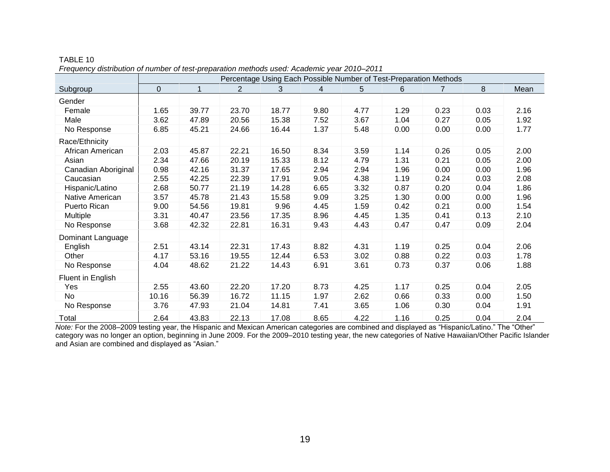|                     | Percentage Using Each Possible Number of Test-Preparation Methods |       |                |       |                |      |      |      |      |      |  |
|---------------------|-------------------------------------------------------------------|-------|----------------|-------|----------------|------|------|------|------|------|--|
| Subgroup            | $\overline{0}$                                                    | 1     | $\overline{2}$ | 3     | $\overline{4}$ | 5    | 6    | 7    | 8    | Mean |  |
| Gender              |                                                                   |       |                |       |                |      |      |      |      |      |  |
| Female              | 1.65                                                              | 39.77 | 23.70          | 18.77 | 9.80           | 4.77 | 1.29 | 0.23 | 0.03 | 2.16 |  |
| Male                | 3.62                                                              | 47.89 | 20.56          | 15.38 | 7.52           | 3.67 | 1.04 | 0.27 | 0.05 | 1.92 |  |
| No Response         | 6.85                                                              | 45.21 | 24.66          | 16.44 | 1.37           | 5.48 | 0.00 | 0.00 | 0.00 | 1.77 |  |
| Race/Ethnicity      |                                                                   |       |                |       |                |      |      |      |      |      |  |
| African American    | 2.03                                                              | 45.87 | 22.21          | 16.50 | 8.34           | 3.59 | 1.14 | 0.26 | 0.05 | 2.00 |  |
| Asian               | 2.34                                                              | 47.66 | 20.19          | 15.33 | 8.12           | 4.79 | 1.31 | 0.21 | 0.05 | 2.00 |  |
| Canadian Aboriginal | 0.98                                                              | 42.16 | 31.37          | 17.65 | 2.94           | 2.94 | 1.96 | 0.00 | 0.00 | 1.96 |  |
| Caucasian           | 2.55                                                              | 42.25 | 22.39          | 17.91 | 9.05           | 4.38 | 1.19 | 0.24 | 0.03 | 2.08 |  |
| Hispanic/Latino     | 2.68                                                              | 50.77 | 21.19          | 14.28 | 6.65           | 3.32 | 0.87 | 0.20 | 0.04 | 1.86 |  |
| Native American     | 3.57                                                              | 45.78 | 21.43          | 15.58 | 9.09           | 3.25 | 1.30 | 0.00 | 0.00 | 1.96 |  |
| Puerto Rican        | 9.00                                                              | 54.56 | 19.81          | 9.96  | 4.45           | 1.59 | 0.42 | 0.21 | 0.00 | 1.54 |  |
| <b>Multiple</b>     | 3.31                                                              | 40.47 | 23.56          | 17.35 | 8.96           | 4.45 | 1.35 | 0.41 | 0.13 | 2.10 |  |
| No Response         | 3.68                                                              | 42.32 | 22.81          | 16.31 | 9.43           | 4.43 | 0.47 | 0.47 | 0.09 | 2.04 |  |
| Dominant Language   |                                                                   |       |                |       |                |      |      |      |      |      |  |
| English             | 2.51                                                              | 43.14 | 22.31          | 17.43 | 8.82           | 4.31 | 1.19 | 0.25 | 0.04 | 2.06 |  |
| Other               | 4.17                                                              | 53.16 | 19.55          | 12.44 | 6.53           | 3.02 | 0.88 | 0.22 | 0.03 | 1.78 |  |
| No Response         | 4.04                                                              | 48.62 | 21.22          | 14.43 | 6.91           | 3.61 | 0.73 | 0.37 | 0.06 | 1.88 |  |
| Fluent in English   |                                                                   |       |                |       |                |      |      |      |      |      |  |
| Yes                 | 2.55                                                              | 43.60 | 22.20          | 17.20 | 8.73           | 4.25 | 1.17 | 0.25 | 0.04 | 2.05 |  |
| No                  | 10.16                                                             | 56.39 | 16.72          | 11.15 | 1.97           | 2.62 | 0.66 | 0.33 | 0.00 | 1.50 |  |
| No Response         | 3.76                                                              | 47.93 | 21.04          | 14.81 | 7.41           | 3.65 | 1.06 | 0.30 | 0.04 | 1.91 |  |
| Total               | 2.64                                                              | 43.83 | 22.13          | 17.08 | 8.65           | 4.22 | 1.16 | 0.25 | 0.04 | 2.04 |  |

TABLE 10 *Frequency distribution of number of test-preparation methods used: Academic year 2010*–*2011*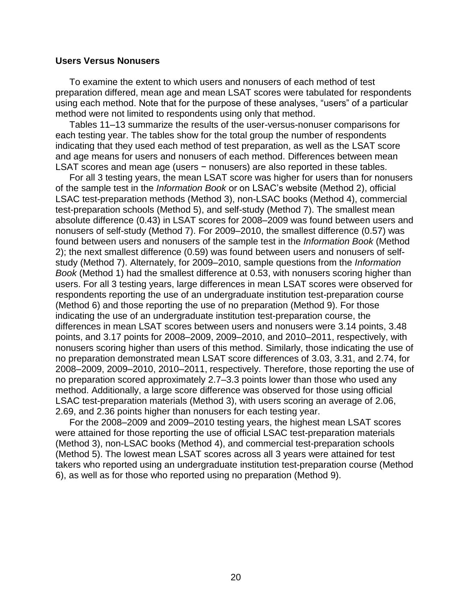#### **Users Versus Nonusers**

To examine the extent to which users and nonusers of each method of test preparation differed, mean age and mean LSAT scores were tabulated for respondents using each method. Note that for the purpose of these analyses, "users" of a particular method were not limited to respondents using only that method.

Tables 11–13 summarize the results of the user-versus-nonuser comparisons for each testing year. The tables show for the total group the number of respondents indicating that they used each method of test preparation, as well as the LSAT score and age means for users and nonusers of each method. Differences between mean LSAT scores and mean age (users − nonusers) are also reported in these tables.

For all 3 testing years, the mean LSAT score was higher for users than for nonusers of the sample test in the *Information Book* or on LSAC's website (Method 2), official LSAC test-preparation methods (Method 3), non-LSAC books (Method 4), commercial test-preparation schools (Method 5), and self-study (Method 7). The smallest mean absolute difference (0.43) in LSAT scores for 2008–2009 was found between users and nonusers of self-study (Method 7). For 2009–2010, the smallest difference (0.57) was found between users and nonusers of the sample test in the *Information Book* (Method 2); the next smallest difference (0.59) was found between users and nonusers of selfstudy (Method 7). Alternately, for 2009–2010, sample questions from the *Information Book* (Method 1) had the smallest difference at 0.53, with nonusers scoring higher than users. For all 3 testing years, large differences in mean LSAT scores were observed for respondents reporting the use of an undergraduate institution test-preparation course (Method 6) and those reporting the use of no preparation (Method 9). For those indicating the use of an undergraduate institution test-preparation course, the differences in mean LSAT scores between users and nonusers were 3.14 points, 3.48 points, and 3.17 points for 2008–2009, 2009–2010, and 2010–2011, respectively, with nonusers scoring higher than users of this method. Similarly, those indicating the use of no preparation demonstrated mean LSAT score differences of 3.03, 3.31, and 2.74, for 2008–2009, 2009–2010, 2010–2011, respectively. Therefore, those reporting the use of no preparation scored approximately 2.7–3.3 points lower than those who used any method. Additionally, a large score difference was observed for those using official LSAC test-preparation materials (Method 3), with users scoring an average of 2.06, 2.69, and 2.36 points higher than nonusers for each testing year.

For the 2008–2009 and 2009–2010 testing years, the highest mean LSAT scores were attained for those reporting the use of official LSAC test-preparation materials (Method 3), non-LSAC books (Method 4), and commercial test-preparation schools (Method 5). The lowest mean LSAT scores across all 3 years were attained for test takers who reported using an undergraduate institution test-preparation course (Method 6), as well as for those who reported using no preparation (Method 9).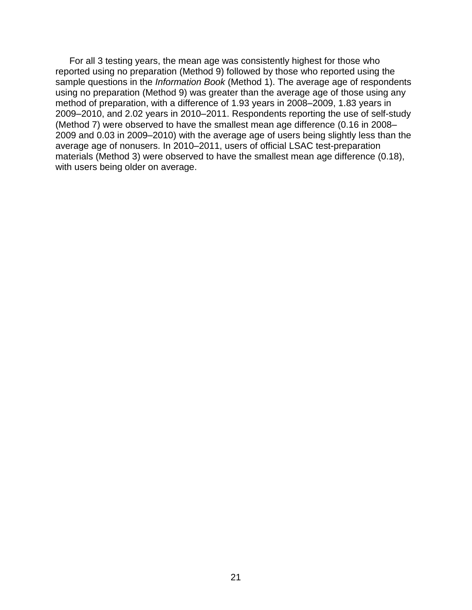For all 3 testing years, the mean age was consistently highest for those who reported using no preparation (Method 9) followed by those who reported using the sample questions in the *Information Book* (Method 1). The average age of respondents using no preparation (Method 9) was greater than the average age of those using any method of preparation, with a difference of 1.93 years in 2008–2009, 1.83 years in 2009–2010, and 2.02 years in 2010–2011. Respondents reporting the use of self-study (Method 7) were observed to have the smallest mean age difference (0.16 in 2008– 2009 and 0.03 in 2009–2010) with the average age of users being slightly less than the average age of nonusers. In 2010–2011, users of official LSAC test-preparation materials (Method 3) were observed to have the smallest mean age difference (0.18), with users being older on average.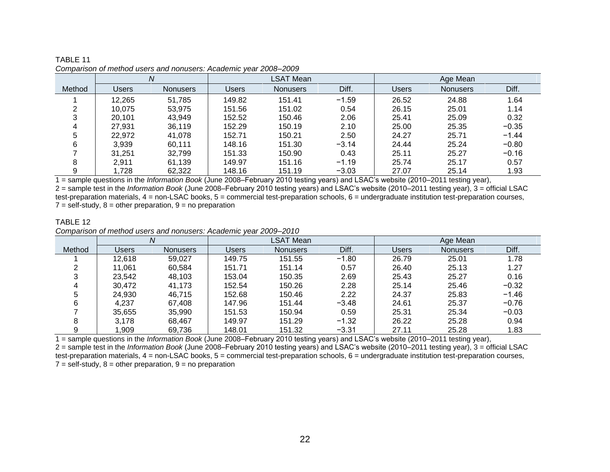|        | Ν      |          | LSAT Mean |                 |         | Age Mean |                 |         |
|--------|--------|----------|-----------|-----------------|---------|----------|-----------------|---------|
| Method | Users  | Nonusers | Users     | <b>Nonusers</b> | Diff.   | Users    | <b>Nonusers</b> | Diff.   |
|        | 12,265 | 51,785   | 149.82    | 151.41          | $-1.59$ | 26.52    | 24.88           | 1.64    |
|        | 10.075 | 53.975   | 151.56    | 151.02          | 0.54    | 26.15    | 25.01           | 1.14    |
| 3      | 20.101 | 43.949   | 152.52    | 150.46          | 2.06    | 25.41    | 25.09           | 0.32    |
|        | 27.931 | 36.119   | 152.29    | 150.19          | 2.10    | 25.00    | 25.35           | $-0.35$ |
|        | 22.972 | 41.078   | 152.71    | 150.21          | 2.50    | 24.27    | 25.71           | $-1.44$ |
| 6      | 3,939  | 60.111   | 148.16    | 151.30          | $-3.14$ | 24.44    | 25.24           | $-0.80$ |
|        | 31.251 | 32,799   | 151.33    | 150.90          | 0.43    | 25.11    | 25.27           | $-0.16$ |
| 8      | 2.911  | 61,139   | 149.97    | 151.16          | $-1.19$ | 25.74    | 25.17           | 0.57    |
| 9      | .728   | 62,322   | 148.16    | 151.19          | $-3.03$ | 27.07    | 25.14           | 1.93    |

TABLE 11 *Comparison of method users and nonusers: Academic year 2008–2009*

1 = sample questions in the *Information Book* (June 2008–February 2010 testing years) and LSAC's website (2010–2011 testing year), 2 = sample test in the *Information Book* (June 2008–February 2010 testing years) and LSAC's website (2010–2011 testing year), 3 = official LSAC test-preparation materials,  $4 =$  non-LSAC books,  $5 =$  commercial test-preparation schools,  $6 =$  undergraduate institution test-preparation courses,  $7 =$  self-study,  $8 =$  other preparation,  $9 =$  no preparation

#### TABLE 12 *Comparison of method users and nonusers: Academic year 2009–2010*

|        |        |                 |              | <b>LSAT Mean</b> |         |       | Age Mean |         |
|--------|--------|-----------------|--------------|------------------|---------|-------|----------|---------|
| Method | Users  | <b>Nonusers</b> | <b>Users</b> | Nonusers         | Diff.   | Users | Nonusers | Diff.   |
|        | 12,618 | 59,027          | 149.75       | 151.55           | $-1.80$ | 26.79 | 25.01    | 1.78    |
|        | 11,061 | 60,584          | 151.71       | 151.14           | 0.57    | 26.40 | 25.13    | 1.27    |
| ົ      | 23.542 | 48.103          | 153.04       | 150.35           | 2.69    | 25.43 | 25.27    | 0.16    |
|        | 30.472 | 41.173          | 152.54       | 150.26           | 2.28    | 25.14 | 25.46    | $-0.32$ |
|        | 24.930 | 46.715          | 152.68       | 150.46           | 2.22    | 24.37 | 25.83    | $-1.46$ |
| 6      | 4,237  | 67,408          | 147.96       | 151.44           | $-3.48$ | 24.61 | 25.37    | $-0.76$ |
|        | 35,655 | 35,990          | 151.53       | 150.94           | 0.59    | 25.31 | 25.34    | $-0.03$ |
| 8      | 3.178  | 68.467          | 149.97       | 151.29           | $-1.32$ | 26.22 | 25.28    | 0.94    |
| g      | .909   | 69,736          | 148.01       | 151.32           | $-3.31$ | 27.11 | 25.28    | 1.83    |

1 = sample questions in the *Information Book* (June 2008–February 2010 testing years) and LSAC's website (2010–2011 testing year),

2 = sample test in the *Information Book* (June 2008–February 2010 testing years) and LSAC's website (2010–2011 testing year), 3 = official LSAC test-preparation materials,  $4 =$  non-LSAC books,  $5 =$  commercial test-preparation schools,  $6 =$  undergraduate institution test-preparation courses,  $7 =$  self-study,  $8 =$  other preparation,  $9 =$  no preparation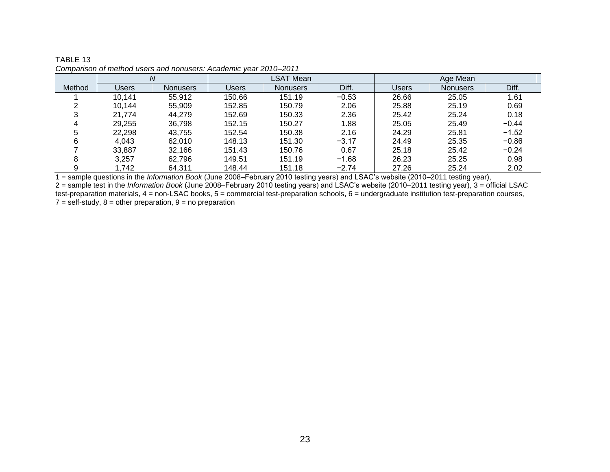|        |        | Ν        |              | <b>LSAT Mean</b> |         | Age Mean |                 |         |
|--------|--------|----------|--------------|------------------|---------|----------|-----------------|---------|
| Method | Users  | Nonusers | <b>Users</b> | Nonusers         | Diff.   | Users    | <b>Nonusers</b> | Diff.   |
|        | 10,141 | 55,912   | 150.66       | 151.19           | $-0.53$ | 26.66    | 25.05           | 1.61    |
|        | 10,144 | 55,909   | 152.85       | 150.79           | 2.06    | 25.88    | 25.19           | 0.69    |
|        | 21.774 | 44.279   | 152.69       | 150.33           | 2.36    | 25.42    | 25.24           | 0.18    |
|        | 29,255 | 36,798   | 152.15       | 150.27           | 1.88    | 25.05    | 25.49           | $-0.44$ |
| 5      | 22,298 | 43.755   | 152.54       | 150.38           | 2.16    | 24.29    | 25.81           | $-1.52$ |
|        | 4.043  | 62.010   | 148.13       | 151.30           | $-3.17$ | 24.49    | 25.35           | $-0.86$ |
|        | 33,887 | 32,166   | 151.43       | 150.76           | 0.67    | 25.18    | 25.42           | $-0.24$ |
| o      | 3.257  | 62.796   | 149.51       | 151.19           | $-1.68$ | 26.23    | 25.25           | 0.98    |
|        | 1.742  | 64,311   | 148.44       | 151.18           | $-2.74$ | 27.26    | 25.24           | 2.02    |

| TABLE 13                                                         |  |
|------------------------------------------------------------------|--|
| Comparison of method users and nonusers: Academic year 2010-2011 |  |

1 = sample questions in the *Information Book* (June 2008–February 2010 testing years) and LSAC's website (2010–2011 testing year), 2 = sample test in the *Information Book* (June 2008–February 2010 testing years) and LSAC's website (2010–2011 testing year), 3 = official LSAC test-preparation materials, 4 = non-LSAC books, 5 = commercial test-preparation schools, 6 = undergraduate institution test-preparation courses,  $7 = \text{self-study}, 8 = \text{other preparation}, 9 = \text{no preparation}$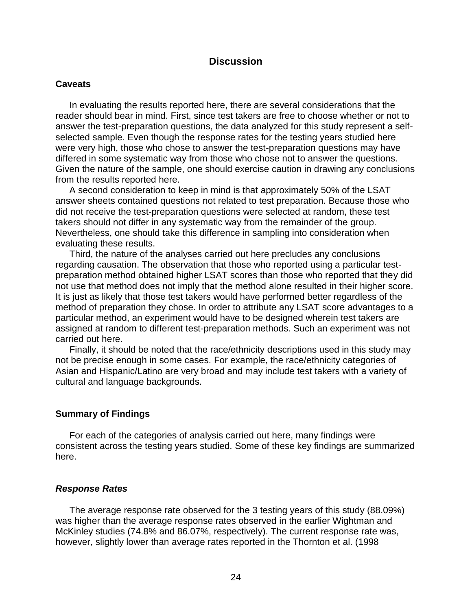## **Discussion**

#### **Caveats**

In evaluating the results reported here, there are several considerations that the reader should bear in mind. First, since test takers are free to choose whether or not to answer the test-preparation questions, the data analyzed for this study represent a selfselected sample. Even though the response rates for the testing years studied here were very high, those who chose to answer the test-preparation questions may have differed in some systematic way from those who chose not to answer the questions. Given the nature of the sample, one should exercise caution in drawing any conclusions from the results reported here.

A second consideration to keep in mind is that approximately 50% of the LSAT answer sheets contained questions not related to test preparation. Because those who did not receive the test-preparation questions were selected at random, these test takers should not differ in any systematic way from the remainder of the group. Nevertheless, one should take this difference in sampling into consideration when evaluating these results.

Third, the nature of the analyses carried out here precludes any conclusions regarding causation. The observation that those who reported using a particular testpreparation method obtained higher LSAT scores than those who reported that they did not use that method does not imply that the method alone resulted in their higher score. It is just as likely that those test takers would have performed better regardless of the method of preparation they chose. In order to attribute any LSAT score advantages to a particular method, an experiment would have to be designed wherein test takers are assigned at random to different test-preparation methods. Such an experiment was not carried out here.

Finally, it should be noted that the race/ethnicity descriptions used in this study may not be precise enough in some cases. For example, the race/ethnicity categories of Asian and Hispanic/Latino are very broad and may include test takers with a variety of cultural and language backgrounds.

#### **Summary of Findings**

For each of the categories of analysis carried out here, many findings were consistent across the testing years studied. Some of these key findings are summarized here.

#### *Response Rates*

The average response rate observed for the 3 testing years of this study (88.09%) was higher than the average response rates observed in the earlier Wightman and McKinley studies (74.8% and 86.07%, respectively). The current response rate was, however, slightly lower than average rates reported in the Thornton et al. (1998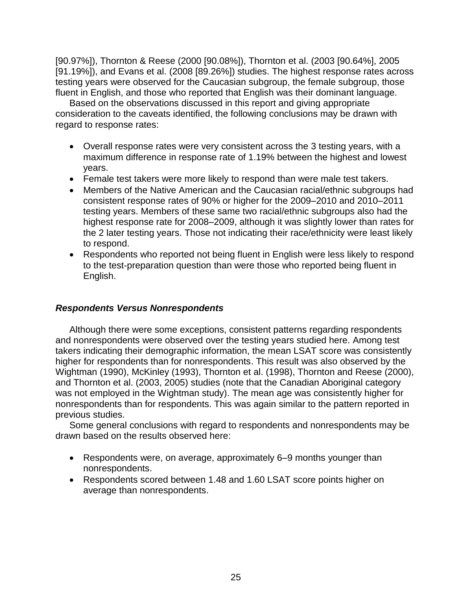[90.97%]), Thornton & Reese (2000 [90.08%]), Thornton et al. (2003 [90.64%], 2005 [91.19%]), and Evans et al. (2008 [89.26%]) studies. The highest response rates across testing years were observed for the Caucasian subgroup, the female subgroup, those fluent in English, and those who reported that English was their dominant language.

Based on the observations discussed in this report and giving appropriate consideration to the caveats identified, the following conclusions may be drawn with regard to response rates:

- Overall response rates were very consistent across the 3 testing years, with a maximum difference in response rate of 1.19% between the highest and lowest years.
- Female test takers were more likely to respond than were male test takers.
- Members of the Native American and the Caucasian racial/ethnic subgroups had consistent response rates of 90% or higher for the 2009–2010 and 2010–2011 testing years. Members of these same two racial/ethnic subgroups also had the highest response rate for 2008–2009, although it was slightly lower than rates for the 2 later testing years. Those not indicating their race/ethnicity were least likely to respond.
- Respondents who reported not being fluent in English were less likely to respond to the test-preparation question than were those who reported being fluent in English.

## *Respondents Versus Nonrespondents*

Although there were some exceptions, consistent patterns regarding respondents and nonrespondents were observed over the testing years studied here. Among test takers indicating their demographic information, the mean LSAT score was consistently higher for respondents than for nonrespondents. This result was also observed by the Wightman (1990), McKinley (1993), Thornton et al. (1998), Thornton and Reese (2000), and Thornton et al. (2003, 2005) studies (note that the Canadian Aboriginal category was not employed in the Wightman study). The mean age was consistently higher for nonrespondents than for respondents. This was again similar to the pattern reported in previous studies.

Some general conclusions with regard to respondents and nonrespondents may be drawn based on the results observed here:

- Respondents were, on average, approximately 6–9 months younger than nonrespondents.
- Respondents scored between 1.48 and 1.60 LSAT score points higher on average than nonrespondents.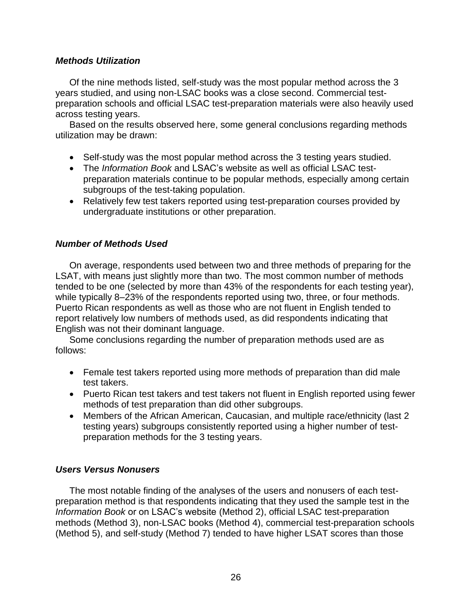## *Methods Utilization*

Of the nine methods listed, self-study was the most popular method across the 3 years studied, and using non-LSAC books was a close second. Commercial testpreparation schools and official LSAC test-preparation materials were also heavily used across testing years.

Based on the results observed here, some general conclusions regarding methods utilization may be drawn:

- Self-study was the most popular method across the 3 testing years studied.
- The *Information Book* and LSAC's website as well as official LSAC testpreparation materials continue to be popular methods, especially among certain subgroups of the test-taking population.
- Relatively few test takers reported using test-preparation courses provided by undergraduate institutions or other preparation.

## *Number of Methods Used*

On average, respondents used between two and three methods of preparing for the LSAT, with means just slightly more than two. The most common number of methods tended to be one (selected by more than 43% of the respondents for each testing year), while typically 8–23% of the respondents reported using two, three, or four methods. Puerto Rican respondents as well as those who are not fluent in English tended to report relatively low numbers of methods used, as did respondents indicating that English was not their dominant language.

Some conclusions regarding the number of preparation methods used are as follows:

- Female test takers reported using more methods of preparation than did male test takers.
- Puerto Rican test takers and test takers not fluent in English reported using fewer methods of test preparation than did other subgroups.
- Members of the African American, Caucasian, and multiple race/ethnicity (last 2 testing years) subgroups consistently reported using a higher number of testpreparation methods for the 3 testing years.

## *Users Versus Nonusers*

The most notable finding of the analyses of the users and nonusers of each testpreparation method is that respondents indicating that they used the sample test in the *Information Book* or on LSAC's website (Method 2), official LSAC test-preparation methods (Method 3), non-LSAC books (Method 4), commercial test-preparation schools (Method 5), and self-study (Method 7) tended to have higher LSAT scores than those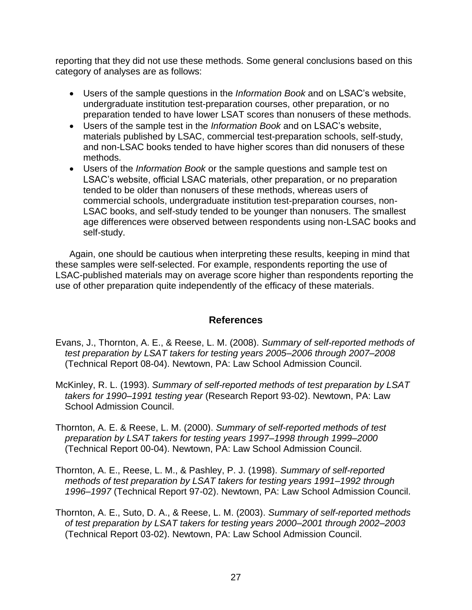reporting that they did not use these methods. Some general conclusions based on this category of analyses are as follows:

- Users of the sample questions in the *Information Book* and on LSAC's website, undergraduate institution test-preparation courses, other preparation, or no preparation tended to have lower LSAT scores than nonusers of these methods.
- Users of the sample test in the *Information Book* and on LSAC's website, materials published by LSAC, commercial test-preparation schools, self-study, and non-LSAC books tended to have higher scores than did nonusers of these methods.
- Users of the *Information Book* or the sample questions and sample test on LSAC's website, official LSAC materials, other preparation, or no preparation tended to be older than nonusers of these methods, whereas users of commercial schools, undergraduate institution test-preparation courses, non-LSAC books, and self-study tended to be younger than nonusers. The smallest age differences were observed between respondents using non-LSAC books and self-study.

Again, one should be cautious when interpreting these results, keeping in mind that these samples were self-selected. For example, respondents reporting the use of LSAC-published materials may on average score higher than respondents reporting the use of other preparation quite independently of the efficacy of these materials.

## **References**

- Evans, J., Thornton, A. E., & Reese, L. M. (2008). *Summary of self-reported methods of test preparation by LSAT takers for testing years 2005–2006 through 2007–2008* (Technical Report 08-04). Newtown, PA: Law School Admission Council.
- McKinley, R. L. (1993). *Summary of self-reported methods of test preparation by LSAT takers for 1990–1991 testing year* (Research Report 93-02). Newtown, PA: Law School Admission Council.
- Thornton, A. E. & Reese, L. M. (2000). *Summary of self-reported methods of test preparation by LSAT takers for testing years 1997–1998 through 1999–2000* (Technical Report 00-04). Newtown, PA: Law School Admission Council.
- Thornton, A. E., Reese, L. M., & Pashley, P. J. (1998). *Summary of self-reported methods of test preparation by LSAT takers for testing years 1991–1992 through 1996–1997* (Technical Report 97-02). Newtown, PA: Law School Admission Council.
- Thornton, A. E., Suto, D. A., & Reese, L. M. (2003). *Summary of self-reported methods of test preparation by LSAT takers for testing years 2000–2001 through 2002–2003* (Technical Report 03-02). Newtown, PA: Law School Admission Council.